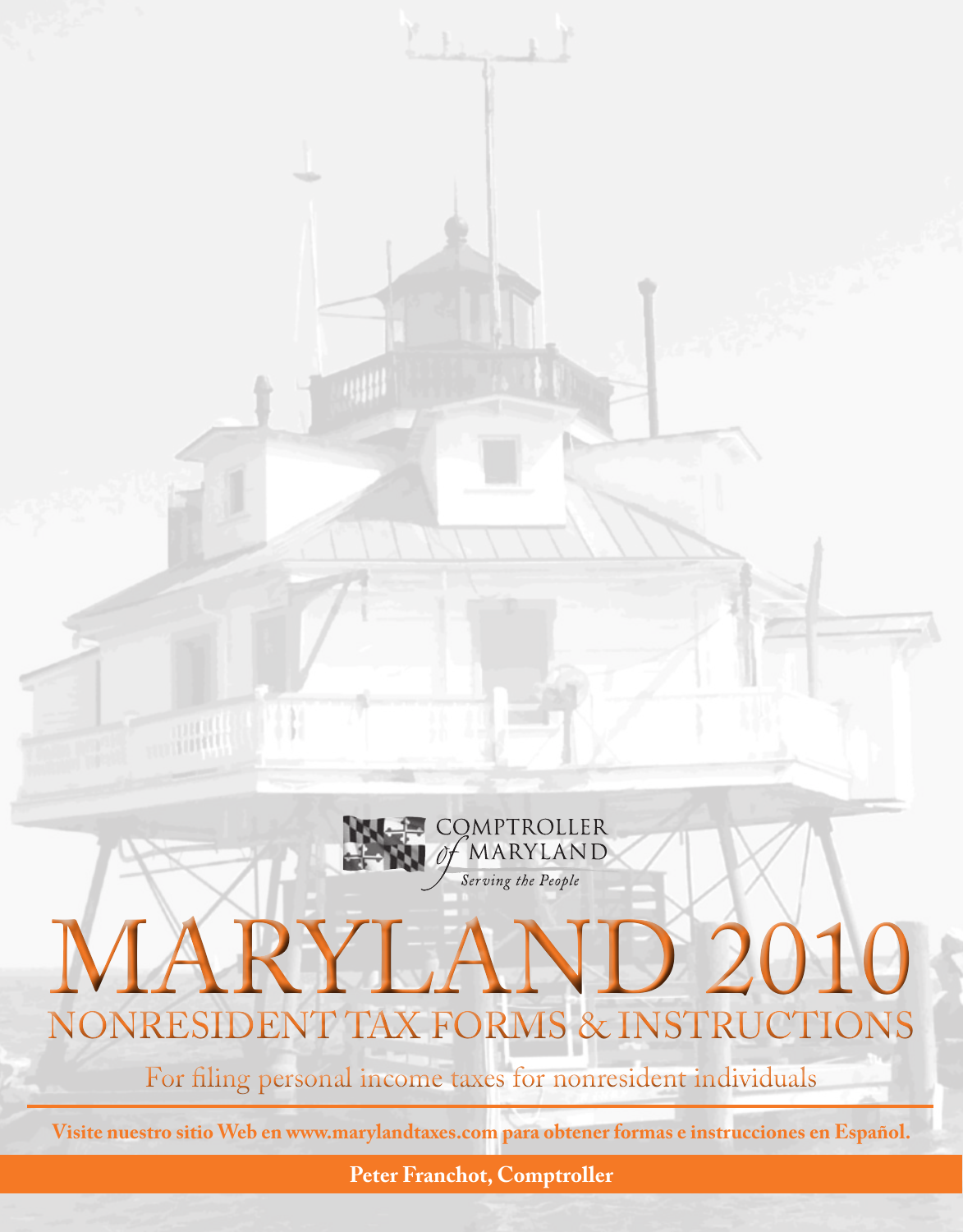

**Peter Franchot, Comptroller**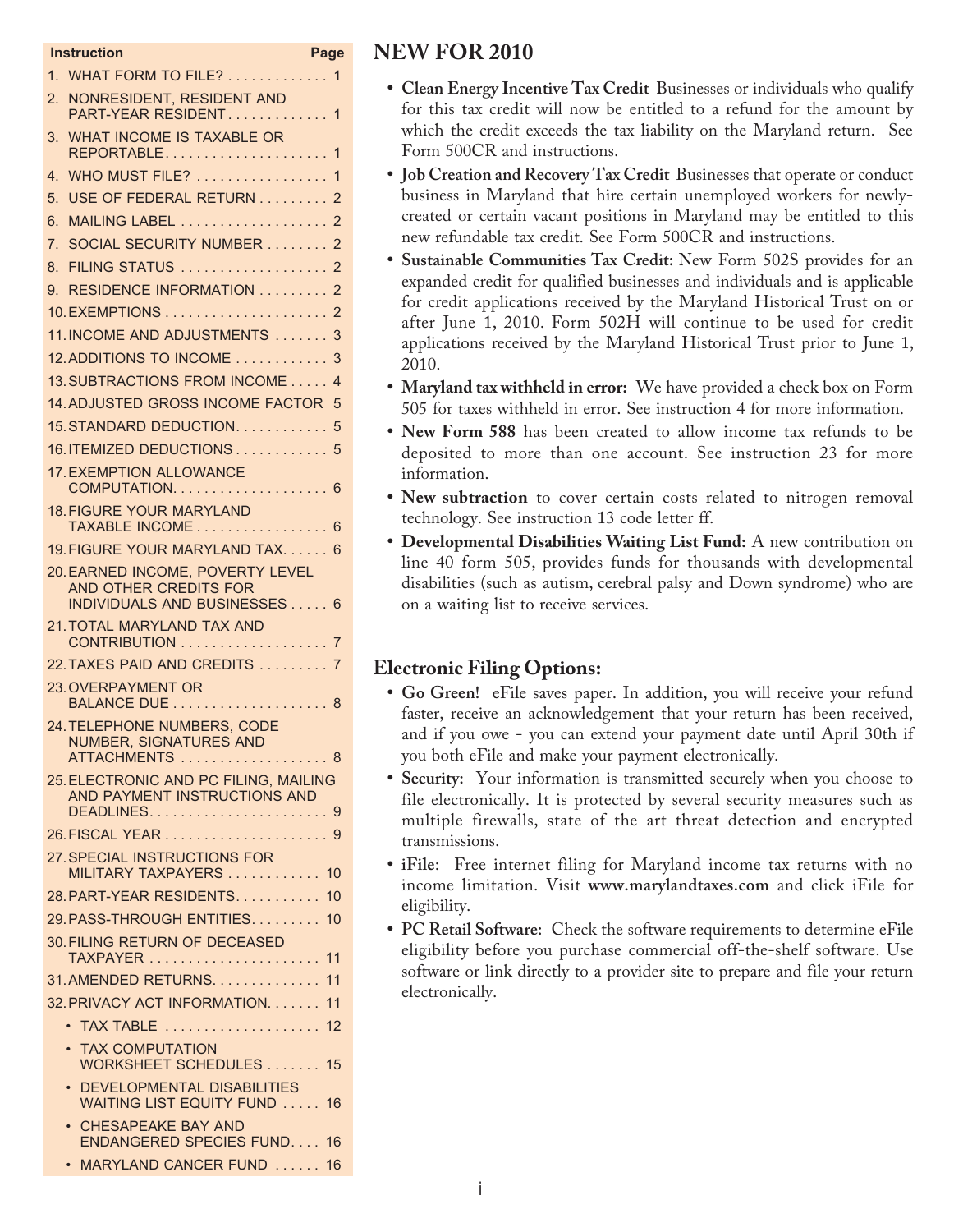|                | Instruction                                                                               | Page |
|----------------|-------------------------------------------------------------------------------------------|------|
|                | 1. WHAT FORM TO FILE? 1                                                                   |      |
| 2.             | NONRESIDENT, RESIDENT AND<br>PART-YEAR RESIDENT 1                                         |      |
| 3.             | WHAT INCOME IS TAXABLE OR<br>REPORTABLE 1                                                 |      |
| 4 <sup>2</sup> | WHO MUST FILE? 1                                                                          |      |
| 5.             | USE OF FEDERAL RETURN  2                                                                  |      |
| 6.             | MAILING LABEL 2                                                                           |      |
| 7.             | SOCIAL SECURITY NUMBER 2                                                                  |      |
| 8.             | <b>FILING STATUS</b> 2                                                                    |      |
| 9.             | <b>RESIDENCE INFORMATION  2</b>                                                           |      |
|                |                                                                                           |      |
|                | 11. INCOME AND ADJUSTMENTS  3                                                             |      |
|                | 12. ADDITIONS TO INCOME  3                                                                |      |
|                | 13. SUBTRACTIONS FROM INCOME 4                                                            |      |
|                | 14. ADJUSTED GROSS INCOME FACTOR 5                                                        |      |
|                | 15. STANDARD DEDUCTION. 5                                                                 |      |
|                | 16. ITEMIZED DEDUCTIONS 5                                                                 |      |
|                | 17. EXEMPTION ALLOWANCE<br>COMPUTATION 6                                                  |      |
|                | <b>18. FIGURE YOUR MARYLAND</b><br>TAXABLE INCOME 6                                       |      |
|                | 19. FIGURE YOUR MARYLAND TAX. 6                                                           |      |
|                | 20. EARNED INCOME, POVERTY LEVEL<br>AND OTHER CREDITS FOR<br>INDIVIDUALS AND BUSINESSES 6 |      |
|                | 21. TOTAL MARYLAND TAX AND<br>CONTRIBUTION 7                                              |      |
|                | 22. TAXES PAID AND CREDITS 7                                                              |      |
|                | 23. OVERPAYMENT OR                                                                        |      |
|                | 24. TELEPHONE NUMBERS, CODE<br>NUMBER, SIGNATURES AND<br>ATTACHMENTS  8                   |      |
|                | 25. ELECTRONIC AND PC FILING, MAILING<br>AND PAYMENT INSTRUCTIONS AND<br>DEADLINES9       |      |
|                |                                                                                           |      |
|                | 27. SPECIAL INSTRUCTIONS FOR<br>MILITARY TAXPAYERS  10                                    |      |
|                | 28. PART-YEAR RESIDENTS. 10                                                               |      |
|                | 29. PASS-THROUGH ENTITIES.                                                                | 10   |
|                | <b>30. FILING RETURN OF DECEASED</b>                                                      | 11   |
|                | 31. AMENDED RETURNS.                                                                      | 11   |
|                | 32. PRIVACY ACT INFORMATION.                                                              | 11   |
|                | TAX TABLE  12<br>$\bullet$                                                                |      |
|                | <b>TAX COMPUTATION</b><br>WORKSHEET SCHEDULES 15                                          |      |
|                | • DEVELOPMENTAL DISABILITIES<br><b>WAITING LIST EQUITY FUND </b>                          | 16   |
|                | • CHESAPEAKE BAY AND<br>ENDANGERED SPECIES FUND 16                                        |      |
|                | MARYLAND CANCER FUND  16                                                                  |      |

## **NEW FOR 2010**

- **• Clean Energy Incentive Tax Credit** Businesses or individuals who qualify for this tax credit will now be entitled to a refund for the amount by which the credit exceeds the tax liability on the Maryland return. See Form 500CR and instructions.
- **• Job Creation and Recovery Tax Credit** Businesses that operate or conduct business in Maryland that hire certain unemployed workers for newlycreated or certain vacant positions in Maryland may be entitled to this new refundable tax credit. See Form 500CR and instructions.
- **• Sustainable Communities Tax Credit:** New Form 502S provides for an expanded credit for qualified businesses and individuals and is applicable for credit applications received by the Maryland Historical Trust on or after June 1, 2010. Form 502H will continue to be used for credit applications received by the Maryland Historical Trust prior to June 1, 2010.
- **• Maryland tax withheld in error:** We have provided a check box on Form 505 for taxes withheld in error. See instruction 4 for more information.
- **• New Form 588** has been created to allow income tax refunds to be deposited to more than one account. See instruction 23 for more information.
- **• New subtraction** to cover certain costs related to nitrogen removal technology. See instruction 13 code letter ff.
- **• Developmental Disabilities Waiting List Fund:** A new contribution on line 40 form 505, provides funds for thousands with developmental disabilities (such as autism, cerebral palsy and Down syndrome) who are on a waiting list to receive services.

## **Electronic Filing Options:**

- **• Go Green!** eFile saves paper. In addition, you will receive your refund faster, receive an acknowledgement that your return has been received, and if you owe - you can extend your payment date until April 30th if you both eFile and make your payment electronically.
- **• Security:** Your information is transmitted securely when you choose to file electronically. It is protected by several security measures such as multiple firewalls, state of the art threat detection and encrypted transmissions.
- **• iFile**: Free internet filing for Maryland income tax returns with no income limitation. Visit **www.marylandtaxes.com** and click iFile for eligibility.
- **• PC Retail Software:** Check the software requirements to determine eFile eligibility before you purchase commercial off-the-shelf software. Use software or link directly to a provider site to prepare and file your return electronically.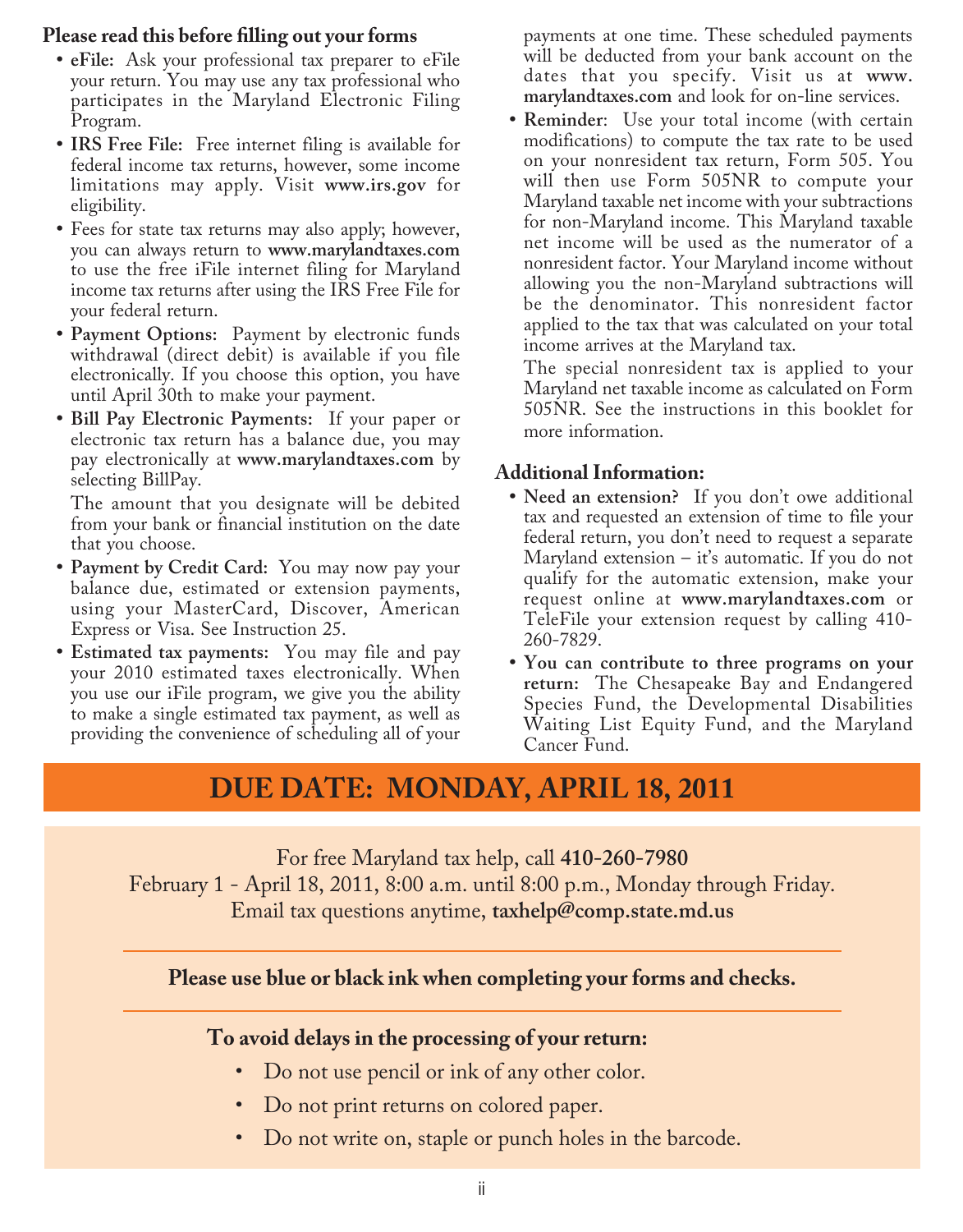## **Please read this before filling out your forms**

- **• eFile:** Ask your professional tax preparer to eFile your return. You may use any tax professional who participates in the Maryland Electronic Filing Program.
- **• IRS Free File:** Free internet filing is available for federal income tax returns, however, some income limitations may apply. Visit **www.irs.gov** for eligibility.
- **•** Fees for state tax returns may also apply; however, you can always return to **www.marylandtaxes.com** to use the free iFile internet filing for Maryland income tax returns after using the IRS Free File for your federal return.
- **• Payment Options:** Payment by electronic funds withdrawal (direct debit) is available if you file electronically. If you choose this option, you have until April 30th to make your payment.
- **• Bill Pay Electronic Payments:** If your paper or electronic tax return has a balance due, you may pay electronically at **www.marylandtaxes.com** by selecting BillPay.

The amount that you designate will be debited from your bank or financial institution on the date that you choose.

- **• Payment by Credit Card:** You may now pay your balance due, estimated or extension payments, using your MasterCard, Discover, American Express or Visa. See Instruction 25.
- **• Estimated tax payments:** You may file and pay your 2010 estimated taxes electronically. When you use our iFile program, we give you the ability to make a single estimated tax payment, as well as providing the convenience of scheduling all of your

payments at one time. These scheduled payments will be deducted from your bank account on the dates that you specify. Visit us at **www. marylandtaxes.com** and look for on-line services.

**• Reminder**: Use your total income (with certain modifications) to compute the tax rate to be used on your nonresident tax return, Form 505. You will then use Form 505NR to compute your Maryland taxable net income with your subtractions for non-Maryland income. This Maryland taxable net income will be used as the numerator of a nonresident factor. Your Maryland income without allowing you the non-Maryland subtractions will be the denominator. This nonresident factor applied to the tax that was calculated on your total income arrives at the Maryland tax.

The special nonresident tax is applied to your Maryland net taxable income as calculated on Form 505NR. See the instructions in this booklet for more information.

## **Additional Information:**

- **• Need an extension?** If you don't owe additional tax and requested an extension of time to file your federal return, you don't need to request a separate Maryland extension  $-$  it's automatic. If you do not qualify for the automatic extension, make your request online at **www.marylandtaxes.com** or TeleFile your extension request by calling 410- 260-7829.
- **• You can contribute to three programs on your return:** The Chesapeake Bay and Endangered Species Fund, the Developmental Disabilities Waiting List Equity Fund, and the Maryland Cancer Fund.

## **DUE DATE: MONDAY, APRIL 18, 2011**

For free Maryland tax help, call **410-260-7980** February 1 - April 18, 2011, 8:00 a.m. until 8:00 p.m., Monday through Friday. Email tax questions anytime, **taxhelp@comp.state.md.us**

**Please use blue or black ink when completing your forms and checks.**

## **To avoid delays in the processing of your return:**

- Do not use pencil or ink of any other color.
- Do not print returns on colored paper.
- Do not write on, staple or punch holes in the barcode.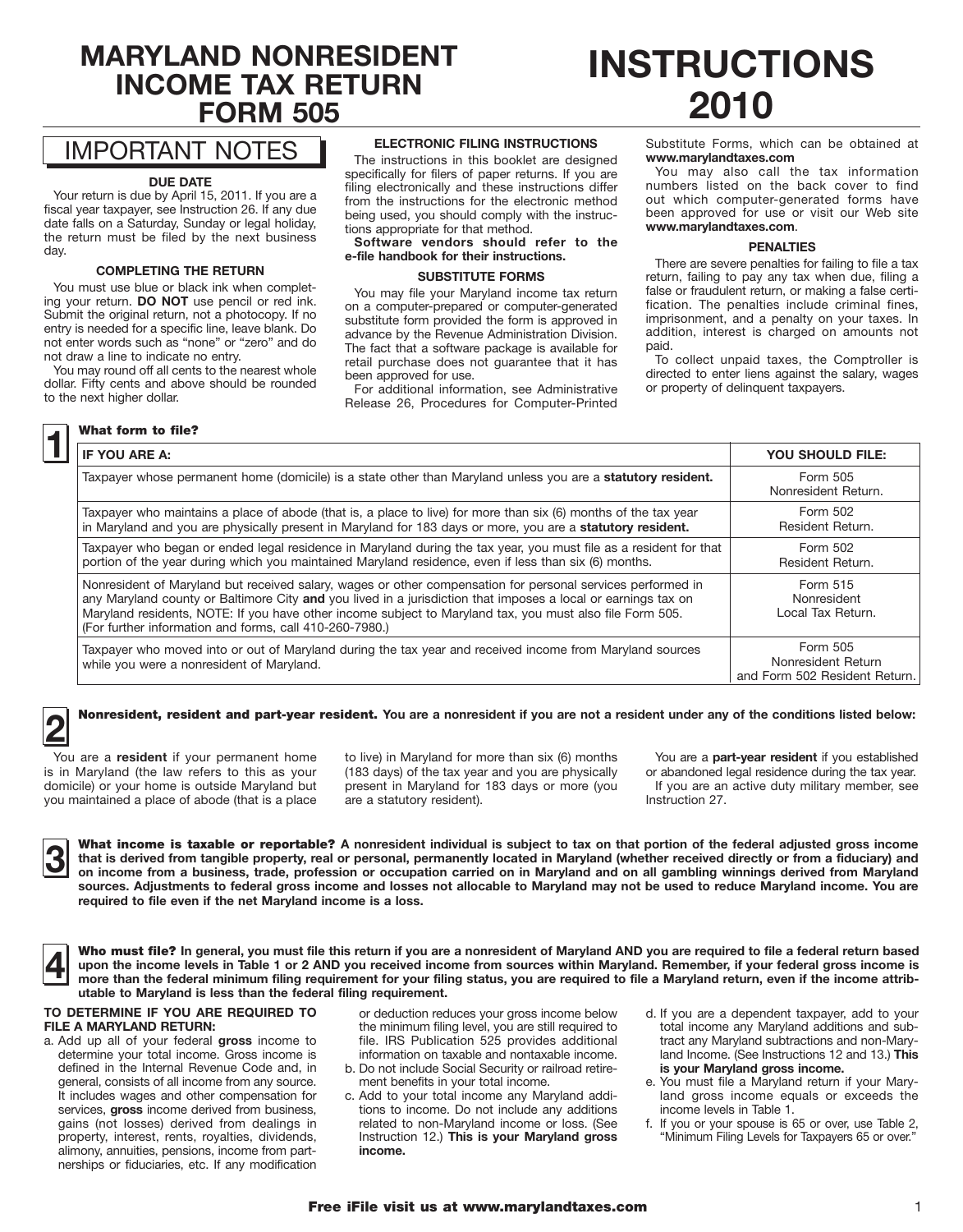## **MARYLAND NONRESIDENT INCOME TAX RETURN FORM 505**

## IMPORTANT NOTES

#### **DUE DATE**

Your return is due by April 15, 2011. If you are a fiscal year taxpayer, see Instruction 26. If any due date falls on a Saturday, Sunday or legal holiday, the return must be filed by the next business day.

#### **COMPLETING THE RETURN**

You must use blue or black ink when completing your return. **DO NOT** use pencil or red ink. Submit the original return, not a photocopy. If no entry is needed for a specific line, leave blank. Do not enter words such as "none" or "zero" and do not draw a line to indicate no entry.

You may round off all cents to the nearest whole dollar. Fifty cents and above should be rounded to the next higher dollar.

#### **1** What form to file?

#### **ELECTRONIC FILING INSTRUCTIONS**

The instructions in this booklet are designed specifically for filers of paper returns. If you are filing electronically and these instructions differ from the instructions for the electronic method being used, you should comply with the instructions appropriate for that method.

**Software vendors should refer to the e-file handbook for their instructions.**

#### **SUBSTITUTE FORMS**

You may file your Maryland income tax return on a computer-prepared or computer-generated substitute form provided the form is approved in advance by the Revenue Administration Division. The fact that a software package is available for retail purchase does not guarantee that it has been approved for use.

For additional information, see Administrative Release 26, Procedures for Computer-Printed

# **INSTRUCTIONS 2010**

Substitute Forms, which can be obtained at **www.marylandtaxes.com**

You may also call the tax information numbers listed on the back cover to find out which computer-generated forms have been approved for use or visit our Web site **www.marylandtaxes.com**.

#### **PENALTIES**

There are severe penalties for failing to file a tax return, failing to pay any tax when due, filing a false or fraudulent return, or making a false certification. The penalties include criminal fines, imprisonment, and a penalty on your taxes. In addition, interest is charged on amounts not paid.

To collect unpaid taxes, the Comptroller is directed to enter liens against the salary, wages or property of delinquent taxpayers.

| IF YOU ARE A:                                                                                                                                                                                                                                                                                                                                                                                       | <b>YOU SHOULD FILE:</b>                                         |
|-----------------------------------------------------------------------------------------------------------------------------------------------------------------------------------------------------------------------------------------------------------------------------------------------------------------------------------------------------------------------------------------------------|-----------------------------------------------------------------|
| Taxpayer whose permanent home (domicile) is a state other than Maryland unless you are a statutory resident.                                                                                                                                                                                                                                                                                        | Form 505<br>Nonresident Return.                                 |
| Taxpayer who maintains a place of abode (that is, a place to live) for more than six (6) months of the tax year<br>in Maryland and you are physically present in Maryland for 183 days or more, you are a statutory resident.                                                                                                                                                                       | Form 502<br>Resident Return.                                    |
| Taxpayer who began or ended legal residence in Maryland during the tax year, you must file as a resident for that<br>portion of the year during which you maintained Maryland residence, even if less than six (6) months.                                                                                                                                                                          | Form 502<br>Resident Return.                                    |
| Nonresident of Maryland but received salary, wages or other compensation for personal services performed in<br>any Maryland county or Baltimore City and you lived in a jurisdiction that imposes a local or earnings tax on<br>Maryland residents, NOTE: If you have other income subject to Maryland tax, you must also file Form 505.<br>(For further information and forms, call 410-260-7980.) | Form 515<br>Nonresident<br>Local Tax Return.                    |
| Taxpayer who moved into or out of Maryland during the tax year and received income from Maryland sources<br>while you were a nonresident of Maryland.                                                                                                                                                                                                                                               | Form 505<br>Nonresident Return<br>and Form 502 Resident Return. |

## **2** Nonresident, resident and part-year resident. You are a nonresident if you are not a resident under any of the conditions listed below:

You are a **resident** if your permanent home is in Maryland (the law refers to this as your domicile) or your home is outside Maryland but you maintained a place of abode (that is a place

to live) in Maryland for more than six (6) months (183 days) of the tax year and you are physically present in Maryland for 183 days or more (you are a statutory resident).

You are a **part-year resident** if you established or abandoned legal residence during the tax year. If you are an active duty military member, see Instruction 27.

What income is taxable or reportable? A nonresident individual is subject to tax on that portion of the federal adjusted gross income<br>In that is derived from tangible property, real or personal, permanently located in Mary **that is derived from tangible property, real or personal, permanently located in Maryland (whether received directly or from a fiduciary) and sources. Adjustments to federal gross income and losses not allocable to Maryland may not be used to reduce Maryland income. You are required to file even if the net Maryland income is a loss.**

|--|

**4** Who must file? **In general, you must file this return if you are a nonresident of Maryland AND you are required to file a federal return based upon the income levels in Table 1 or 2 AND you received income from sources within Maryland. Remember, if your federal gross income is more than the federal minimum filing requirement for your filing status, you are required to file a Maryland return, even if the income attributable to Maryland is less than the federal filing requirement.**

#### **TO DETERMINE IF YOU ARE REQUIRED TO FILE A MARYLAND RETURN:**

a. Add up all of your federal **gross** income to determine your total income. Gross income is defined in the Internal Revenue Code and, in general, consists of all income from any source. It includes wages and other compensation for services, **gross** income derived from business, gains (not losses) derived from dealings in property, interest, rents, royalties, dividends, alimony, annuities, pensions, income from partnerships or fiduciaries, etc. If any modification

or deduction reduces your gross income below the minimum filing level, you are still required to file. IRS Publication 525 provides additional information on taxable and nontaxable income.

- b. Do not include Social Security or railroad retirement benefits in your total income.
- c. Add to your total income any Maryland additions to income. Do not include any additions related to non-Maryland income or loss. (See Instruction 12.) **This is your Maryland gross income.**
- d. If you are a dependent taxpayer, add to your total income any Maryland additions and subtract any Maryland subtractions and non-Maryland Income. (See Instructions 12 and 13.) **This is your Maryland gross income.**
- e. You must file a Maryland return if your Maryland gross income equals or exceeds the income levels in Table 1.
- f. If you or your spouse is 65 or over, use Table 2, "Minimum Filing Levels for Taxpayers 65 or over."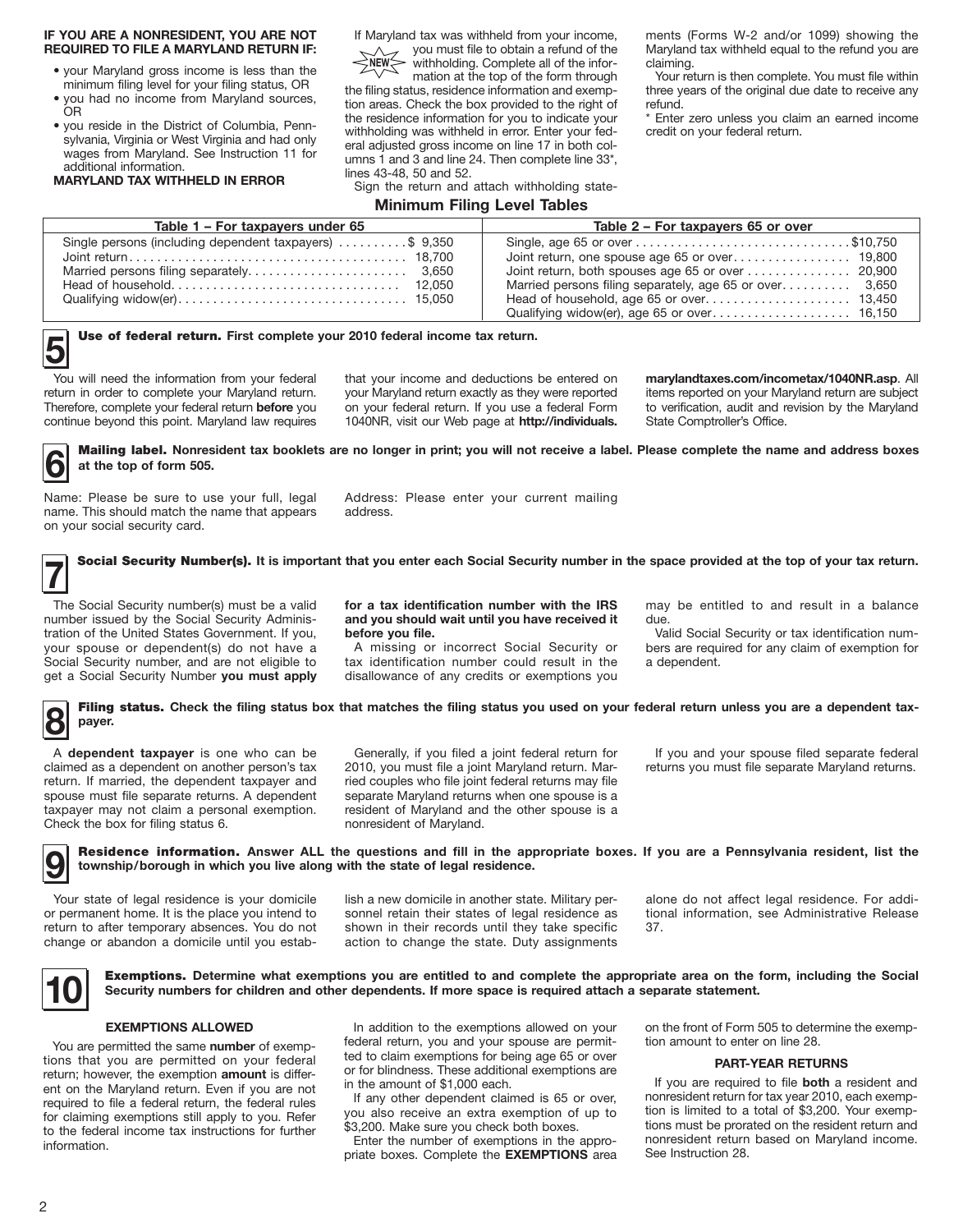#### **IF YOU ARE A NONRESIDENT, YOU ARE NOT REQUIRED TO FILE A MARYLAND RETURN IF:**

- your Maryland gross income is less than the minimum filing level for your filing status, OR
- you had no income from Maryland sources, OR
- you reside in the District of Columbia, Pennsylvania, Virginia or West Virginia and had only wages from Maryland. See Instruction 11 for additional information.

**MARYLAND TAX WITHHELD IN ERROR**

If Maryland tax was withheld from your income, you must file to obtain a refund of the  $\wedge$ 

withholding. Complete all of the information at the top of the form through **NEW**

the filing status, residence information and exemption areas. Check the box provided to the right of the residence information for you to indicate your withholding was withheld in error. Enter your federal adjusted gross income on line 17 in both columns 1 and 3 and line 24. Then complete line 33\*, lines 43-48, 50 and 52.

Sign the return and attach withholding state-

#### **Minimum Filing Level Tables**

ments (Forms W-2 and/or 1099) showing the Maryland tax withheld equal to the refund you are claiming.

Your return is then complete. You must file within three years of the original due date to receive any refund.

\* Enter zero unless you claim an earned income credit on your federal return.

| Table 1 - For taxpayers under 65                                      | Table 2 - For taxpayers 65 or over                      |
|-----------------------------------------------------------------------|---------------------------------------------------------|
| Single persons (including dependent taxpayers) $\dots \dots$ \$ 9,350 | Married persons filing separately, age 65 or over 3,650 |
|                                                                       |                                                         |

## **5** Use of federal return. First complete your 2010 federal income tax return.

You will need the information from your federal return in order to complete your Maryland return. Therefore, complete your federal return **before** you continue beyond this point. Maryland law requires

that your income and deductions be entered on your Maryland return exactly as they were reported on your federal return. If you use a federal Form 1040NR, visit our Web page at **http://individuals.**

**marylandtaxes.com/incometax/1040NR.asp**. All items reported on your Maryland return are subject to verification, audit and revision by the Maryland State Comptroller's Office.

**6** Mailing label. Nonresident tax booklets are no longer in print; you will not receive a label. Please complete the name and address boxes at the top of form 505. **at the top of form 505.**

Name: Please be sure to use your full, legal name. This should match the name that appears on your social security card.

Address: Please enter your current mailing address.

**7** Social Security Number(s). **It is important that you enter each Social Security number in the space provided at the top of your tax return.**

The Social Security number(s) must be a valid number issued by the Social Security Administration of the United States Government. If you, your spouse or dependent(s) do not have a Social Security number, and are not eligible to get a Social Security Number **you must apply** 

**for a tax identification number with the IRS and you should wait until you have received it before you file.**

A missing or incorrect Social Security or tax identification number could result in the disallowance of any credits or exemptions you

may be entitled to and result in a balance due.

Valid Social Security or tax identification numbers are required for any claim of exemption for a dependent.

#### **8** Filing status. Check the filing status box that matches the filing status you used on your federal return unless you are a dependent tax**payer.**

A **dependent taxpayer** is one who can be claimed as a dependent on another person's tax return. If married, the dependent taxpayer and spouse must file separate returns. A dependent taxpayer may not claim a personal exemption. Check the box for filing status 6.

Generally, if you filed a joint federal return for 2010, you must file a joint Maryland return. Married couples who file joint federal returns may file separate Maryland returns when one spouse is a resident of Maryland and the other spouse is a nonresident of Maryland.

If you and your spouse filed separate federal returns you must file separate Maryland returns.

**9** Residence information. **Answer ALL the questions and fill in the appropriate boxes. If you are a Pennsylvania resident, list the township/borough in which you live along with the state of legal residence.**

Your state of legal residence is your domicile or permanent home. It is the place you intend to return to after temporary absences. You do not change or abandon a domicile until you estab-

lish a new domicile in another state. Military personnel retain their states of legal residence as shown in their records until they take specific action to change the state. Duty assignments alone do not affect legal residence. For additional information, see Administrative Release 37.

**10** Exemptions. **Determine what exemptions you are entitled to and complete the appropriate area on the form, including the Social Security numbers for children and other dependents. If more space is required attach a separate statement.**

#### **EXEMPTIONS ALLOWED**

You are permitted the same **number** of exemptions that you are permitted on your federal return; however, the exemption **amount** is different on the Maryland return. Even if you are not required to file a federal return, the federal rules for claiming exemptions still apply to you. Refer to the federal income tax instructions for further information.

In addition to the exemptions allowed on your federal return, you and your spouse are permitted to claim exemptions for being age 65 or over or for blindness. These additional exemptions are in the amount of \$1,000 each.

If any other dependent claimed is 65 or over, you also receive an extra exemption of up to \$3,200. Make sure you check both boxes.

Enter the number of exemptions in the appropriate boxes. Complete the **EXEMPTIONS** area on the front of Form 505 to determine the exemption amount to enter on line 28.

#### **PART-YEAR RETURNS**

If you are required to file **both** a resident and nonresident return for tax year 2010, each exemption is limited to a total of \$3,200. Your exemptions must be prorated on the resident return and nonresident return based on Maryland income. See Instruction 28.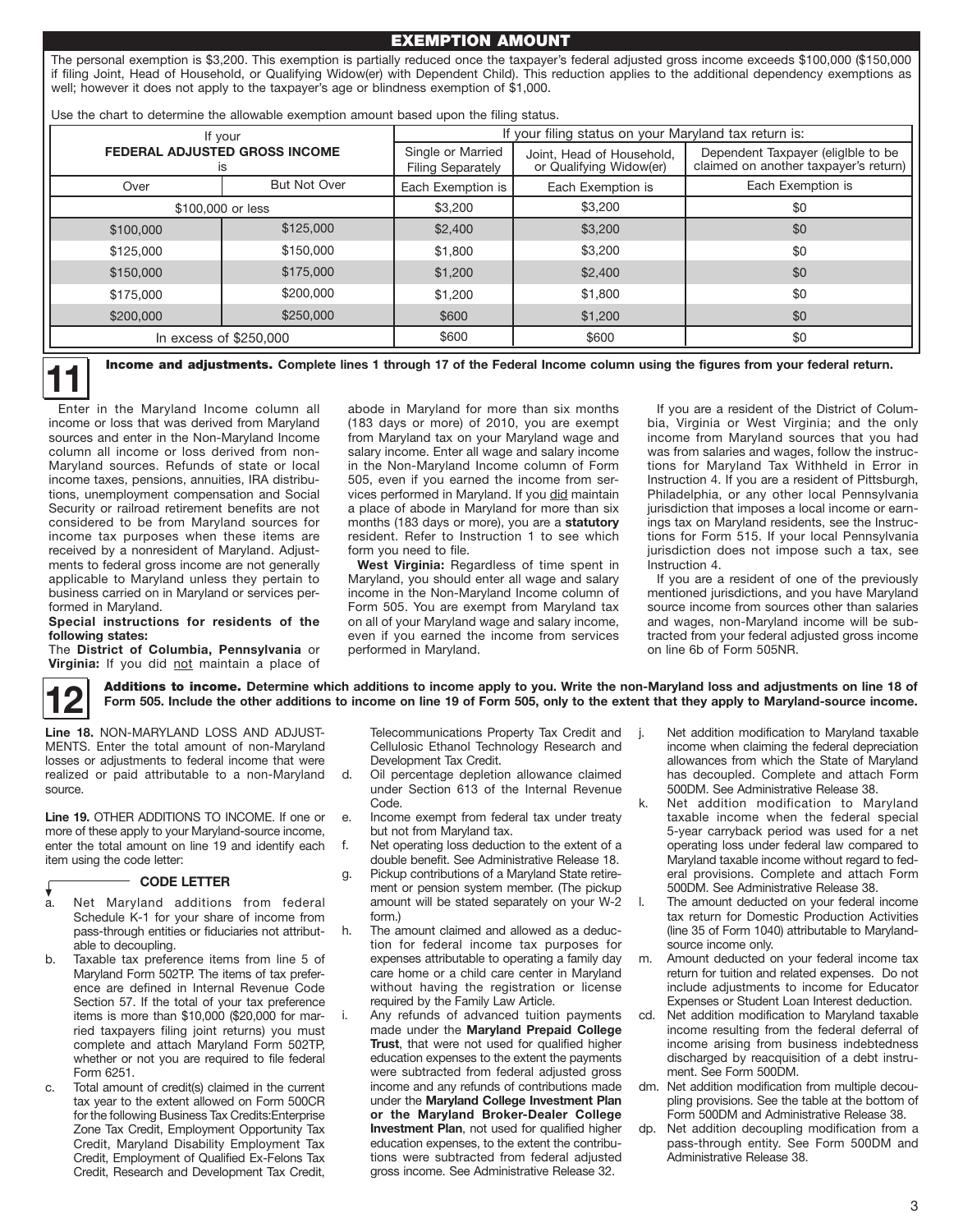#### EXEMPTION AMOUNT

The personal exemption is \$3,200. This exemption is partially reduced once the taxpayer's federal adjusted gross income exceeds \$100,000 (\$150,000 if filing Joint, Head of Household, or Qualifying Widow(er) with Dependent Child). This reduction applies to the additional dependency exemptions as well; however it does not apply to the taxpayer's age or blindness exemption of \$1,000.

Use the chart to determine the allowable exemption amount based upon the filing status.

| If your<br><b>FEDERAL ADJUSTED GROSS INCOME</b><br>IS |                     | If your filing status on your Maryland tax return is: |                                                      |                                                                             |  |  |
|-------------------------------------------------------|---------------------|-------------------------------------------------------|------------------------------------------------------|-----------------------------------------------------------------------------|--|--|
|                                                       |                     | Single or Married<br><b>Filing Separately</b>         | Joint, Head of Household,<br>or Qualifying Widow(er) | Dependent Taxpayer (eligible to be<br>claimed on another taxpayer's return) |  |  |
| Over                                                  | <b>But Not Over</b> | Each Exemption is                                     | Each Exemption is                                    | Each Exemption is                                                           |  |  |
|                                                       | \$100,000 or less   | \$3,200                                               | \$3,200                                              | \$0                                                                         |  |  |
| \$100,000                                             | \$125,000           | \$2,400                                               | \$3,200                                              | \$0                                                                         |  |  |
| \$125,000                                             | \$150,000           | \$1,800                                               | \$3,200                                              | \$0                                                                         |  |  |
| \$150,000                                             | \$175,000           | \$1,200                                               | \$2,400                                              | \$0                                                                         |  |  |
| \$175,000                                             | \$200,000           | \$1,200                                               | \$1,800                                              | \$0                                                                         |  |  |
| \$200,000                                             | \$250,000           | \$600                                                 | \$1,200                                              | \$0                                                                         |  |  |
| In excess of $$250,000$                               |                     | \$600                                                 | \$600                                                | \$0                                                                         |  |  |

**11** Income and adjustments. **Complete lines 1 through 17 of the Federal Income column using the figures from your federal return.**

abode in Maryland for more than six months (183 days or more) of 2010, you are exempt from Maryland tax on your Maryland wage and salary income. Enter all wage and salary income in the Non-Maryland Income column of Form 505, even if you earned the income from services performed in Maryland. If you did maintain a place of abode in Maryland for more than six months (183 days or more), you are a **statutory** resident. Refer to Instruction 1 to see which

form you need to file.

performed in Maryland.

Enter in the Maryland Income column all income or loss that was derived from Maryland sources and enter in the Non-Maryland Income column all income or loss derived from non-Maryland sources. Refunds of state or local income taxes, pensions, annuities, IRA distributions, unemployment compensation and Social Security or railroad retirement benefits are not considered to be from Maryland sources for income tax purposes when these items are received by a nonresident of Maryland. Adjustments to federal gross income are not generally applicable to Maryland unless they pertain to business carried on in Maryland or services performed in Maryland.

#### **Special instructions for residents of the following states:**

The **District of Columbia, Pennsylvania** or **Virginia:** If you did not maintain a place of



Additions to income. Determine which additions to income apply to you. Write the non-Maryland loss and adjustments on line 18 of<br>Form 505. Include the other additions to income on line 19 of Form 505, only to the extent th

**West Virginia:** Regardless of time spent in Maryland, you should enter all wage and salary income in the Non-Maryland Income column of Form 505. You are exempt from Maryland tax on all of your Maryland wage and salary income, even if you earned the income from services

**Line 18.** NON-MARYLAND LOSS AND ADJUST-MENTS. Enter the total amount of non-Maryland losses or adjustments to federal income that were realized or paid attributable to a non-Maryland source.

**Line 19.** OTHER ADDITIONS TO INCOME. If one or more of these apply to your Maryland-source income, enter the total amount on line 19 and identify each item using the code letter:

#### **CODE LETTER**

- Net Maryland additions from federal Schedule K-1 for your share of income from pass-through entities or fiduciaries not attributable to decoupling. a.
- b. Taxable tax preference items from line 5 of Maryland Form 502TP. The items of tax preference are defined in Internal Revenue Code Section 57. If the total of your tax preference items is more than \$10,000 (\$20,000 for married taxpayers filing joint returns) you must complete and attach Maryland Form 502TP, whether or not you are required to file federal Form 6251.
- c. Total amount of credit(s) claimed in the current tax year to the extent allowed on Form 500CR for the following Business Tax Credits:Enterprise Zone Tax Credit, Employment Opportunity Tax Credit, Maryland Disability Employment Tax Credit, Employment of Qualified Ex-Felons Tax Credit, Research and Development Tax Credit,

Telecommunications Property Tax Credit and Cellulosic Ethanol Technology Research and Development Tax Credit.

- d. Oil percentage depletion allowance claimed under Section 613 of the Internal Revenue Code.
- e. Income exempt from federal tax under treaty but not from Maryland tax.
- f. Net operating loss deduction to the extent of a double benefit. See Administrative Release 18.
- g. Pickup contributions of a Maryland State retirement or pension system member. (The pickup amount will be stated separately on your W-2 form.)
- h. The amount claimed and allowed as a deduction for federal income tax purposes for expenses attributable to operating a family day care home or a child care center in Maryland without having the registration or license required by the Family Law Article.
- Any refunds of advanced tuition payments made under the **Maryland Prepaid College Trust**, that were not used for qualified higher education expenses to the extent the payments were subtracted from federal adjusted gross income and any refunds of contributions made under the **Maryland College Investment Plan or the Maryland Broker-Dealer College Investment Plan**, not used for qualified higher education expenses, to the extent the contributions were subtracted from federal adjusted gross income. See Administrative Release 32.

j. Net addition modification to Maryland taxable income when claiming the federal depreciation allowances from which the State of Maryland has decoupled. Complete and attach Form 500DM. See Administrative Release 38.

If you are a resident of the District of Columbia, Virginia or West Virginia; and the only income from Maryland sources that you had was from salaries and wages, follow the instructions for Maryland Tax Withheld in Error in Instruction 4. If you are a resident of Pittsburgh, Philadelphia, or any other local Pennsylvania jurisdiction that imposes a local income or earnings tax on Maryland residents, see the Instructions for Form 515. If your local Pennsylvania jurisdiction does not impose such a tax, see

If you are a resident of one of the previously mentioned jurisdictions, and you have Maryland source income from sources other than salaries and wages, non-Maryland income will be subtracted from your federal adjusted gross income

Instruction 4.

on line 6b of Form 505NR.

- k. Net addition modification to Maryland taxable income when the federal special 5-year carryback period was used for a net operating loss under federal law compared to Maryland taxable income without regard to federal provisions. Complete and attach Form 500DM. See Administrative Release 38.
- The amount deducted on your federal income tax return for Domestic Production Activities (line 35 of Form 1040) attributable to Marylandsource income only.
- m. Amount deducted on your federal income tax return for tuition and related expenses. Do not include adjustments to income for Educator Expenses or Student Loan Interest deduction.
- cd. Net addition modification to Maryland taxable income resulting from the federal deferral of income arising from business indebtedness discharged by reacquisition of a debt instrument. See Form 500DM.
- dm. Net addition modification from multiple decoupling provisions. See the table at the bottom of Form 500DM and Administrative Release 38.
- Net addition decoupling modification from a pass-through entity. See Form 500DM and Administrative Release 38.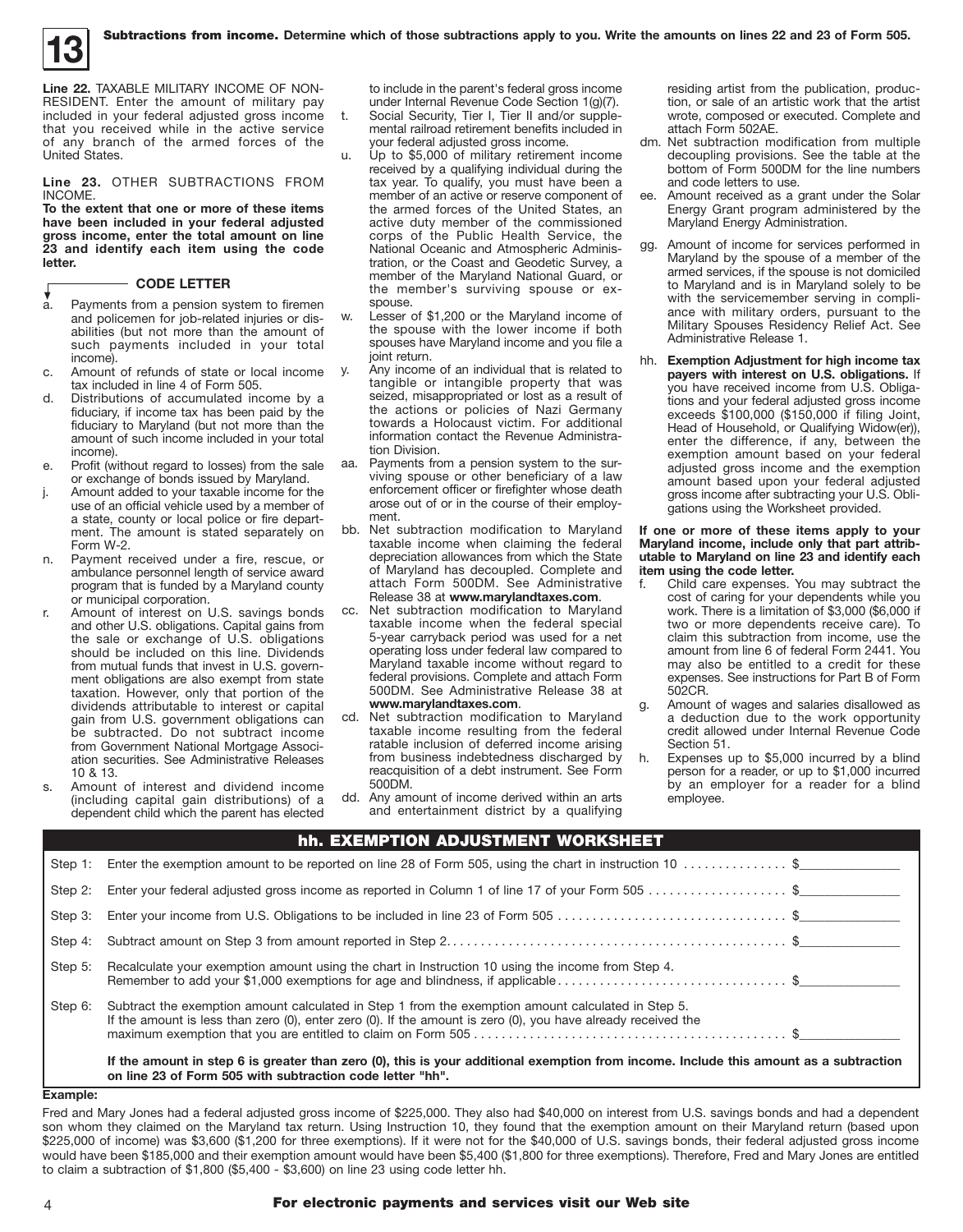

**Line 22.** TAXABLE MILITARY INCOME OF NON-RESIDENT. Enter the amount of military pay included in your federal adjusted gross income that you received while in the active service of any branch of the armed forces of the United States.

**Line 23.** OTHER SUBTRACTIONS FROM INCOME.

**To the extent that one or more of these items have been included in your federal adjusted gross income, enter the total amount on line 23 and identify each item using the code letter.**

#### **CODE LETTER**

- Payments from a pension system to firemen and policemen for job-related injuries or disabilities (but not more than the amount of such payments included in your total income).  $\mathbf{a}$
- c. Amount of refunds of state or local income tax included in line 4 of Form 505.
- d. Distributions of accumulated income by a fiduciary, if income tax has been paid by the fiduciary to Maryland (but not more than the amount of such income included in your total income).
- e. Profit (without regard to losses) from the sale or exchange of bonds issued by Maryland.
- j. Amount added to your taxable income for the use of an official vehicle used by a member of a state, county or local police or fire department. The amount is stated separately on Form W-2.
- n. Payment received under a fire, rescue, or ambulance personnel length of service award program that is funded by a Maryland county or municipal corporation.
- r. Amount of interest on U.S. savings bonds and other U.S. obligations. Capital gains from the sale or exchange of U.S. obligations should be included on this line. Dividends from mutual funds that invest in U.S. government obligations are also exempt from state taxation. However, only that portion of the dividends attributable to interest or capital gain from U.S. government obligations can be subtracted. Do not subtract income from Government National Mortgage Association securities. See Administrative Releases 10 & 13.
- s. Amount of interest and dividend income (including capital gain distributions) of a dependent child which the parent has elected

to include in the parent's federal gross income under Internal Revenue Code Section 1(g)(7). t. Social Security, Tier I, Tier II and/or supplemental railroad retirement benefits included in your federal adjusted gross income.

- u. Up to \$5,000 of military retirement income received by a qualifying individual during the tax year. To qualify, you must have been a member of an active or reserve component of the armed forces of the United States, an active duty member of the commissioned corps of the Public Health Service, the National Oceanic and Atmospheric Administration, or the Coast and Geodetic Survey, a member of the Maryland National Guard, or the member's surviving spouse or exspouse.
- w. Lesser of \$1,200 or the Maryland income of the spouse with the lower income if both spouses have Maryland income and you file a joint return.
- Any income of an individual that is related to tangible or intangible property that was seized, misappropriated or lost as a result of the actions or policies of Nazi Germany towards a Holocaust victim. For additional information contact the Revenue Administration Division.
- aa. Payments from a pension system to the surviving spouse or other beneficiary of a law enforcement officer or firefighter whose death arose out of or in the course of their employment.
- bb. Net subtraction modification to Maryland taxable income when claiming the federal depreciation allowances from which the State of Maryland has decoupled. Complete and attach Form 500DM. See Administrative Release 38 at **www.marylandtaxes.com**.
- cc. Net subtraction modification to Maryland taxable income when the federal special 5-year carryback period was used for a net operating loss under federal law compared to Maryland taxable income without regard to federal provisions. Complete and attach Form 500DM. See Administrative Release 38 at **www.marylandtaxes.com**.
- cd. Net subtraction modification to Maryland taxable income resulting from the federal ratable inclusion of deferred income arising from business indebtedness discharged by reacquisition of a debt instrument. See Form 500DM.
- dd. Any amount of income derived within an arts and entertainment district by a qualifying

hh. EXEMPTION ADJUSTMENT WORKSHEET

residing artist from the publication, production, or sale of an artistic work that the artist wrote, composed or executed. Complete and attach Form 502AE.

- dm. Net subtraction modification from multiple decoupling provisions. See the table at the bottom of Form 500DM for the line numbers and code letters to use.
- Amount received as a grant under the Solar Energy Grant program administered by the Maryland Energy Administration.
- gg. Amount of income for services performed in Maryland by the spouse of a member of the armed services, if the spouse is not domiciled to Maryland and is in Maryland solely to be with the servicemember serving in compliance with military orders, pursuant to the Military Spouses Residency Relief Act. See Administrative Release 1.
- hh. **Exemption Adjustment for high income tax payers with interest on U.S. obligations.** If you have received income from U.S. Obligations and your federal adjusted gross income exceeds \$100,000 (\$150,000 if filing Joint, Head of Household, or Qualifying Widow(er)), enter the difference, if any, between the exemption amount based on your federal adjusted gross income and the exemption amount based upon your federal adjusted gross income after subtracting your U.S. Obligations using the Worksheet provided.

#### **If one or more of these items apply to your Maryland income, include only that part attributable to Maryland on line 23 and identify each item using the code letter.**

- f. Child care expenses. You may subtract the cost of caring for your dependents while you work. There is a limitation of \$3,000 (\$6,000 if two or more dependents receive care). To claim this subtraction from income, use the amount from line 6 of federal Form 2441. You may also be entitled to a credit for these expenses. See instructions for Part B of Form 502CR.
- g. Amount of wages and salaries disallowed as a deduction due to the work opportunity credit allowed under Internal Revenue Code Section 51.
- h. Expenses up to \$5,000 incurred by a blind person for a reader, or up to \$1,000 incurred by an employer for a reader for a blind employee.

| Step 1: | Enter the exemption amount to be reported on line 28 of Form 505, using the chart in instruction 10 $\ldots$ \$                                                                                                     |  |
|---------|---------------------------------------------------------------------------------------------------------------------------------------------------------------------------------------------------------------------|--|
| Step 2: | Enter your federal adjusted gross income as reported in Column 1 of line 17 of your Form 505 \$                                                                                                                     |  |
| Step 3: | Enter your income from U.S. Obligations to be included in line 23 of Form 505 \$                                                                                                                                    |  |
|         |                                                                                                                                                                                                                     |  |
| Step 5: | Recalculate your exemption amount using the chart in Instruction 10 using the income from Step 4.                                                                                                                   |  |
| Step 6: | Subtract the exemption amount calculated in Step 1 from the exemption amount calculated in Step 5.<br>If the amount is less than zero (0), enter zero (0). If the amount is zero (0), you have already received the |  |
|         | If the amount in step 6 is greater than zero (0), this is your additional exemption from income. Include this amount as a subtraction<br>on line 23 of Form 505 with subtraction code letter "hh".                  |  |

#### **Example:**

Fred and Mary Jones had a federal adjusted gross income of \$225,000. They also had \$40,000 on interest from U.S. savings bonds and had a dependent son whom they claimed on the Maryland tax return. Using Instruction 10, they found that the exemption amount on their Maryland return (based upon \$225,000 of income) was \$3,600 (\$1,200 for three exemptions). If it were not for the \$40,000 of U.S. savings bonds, their federal adjusted gross income would have been \$185,000 and their exemption amount would have been \$5,400 (\$1,800 for three exemptions). Therefore, Fred and Mary Jones are entitled to claim a subtraction of \$1,800 (\$5,400 - \$3,600) on line 23 using code letter hh.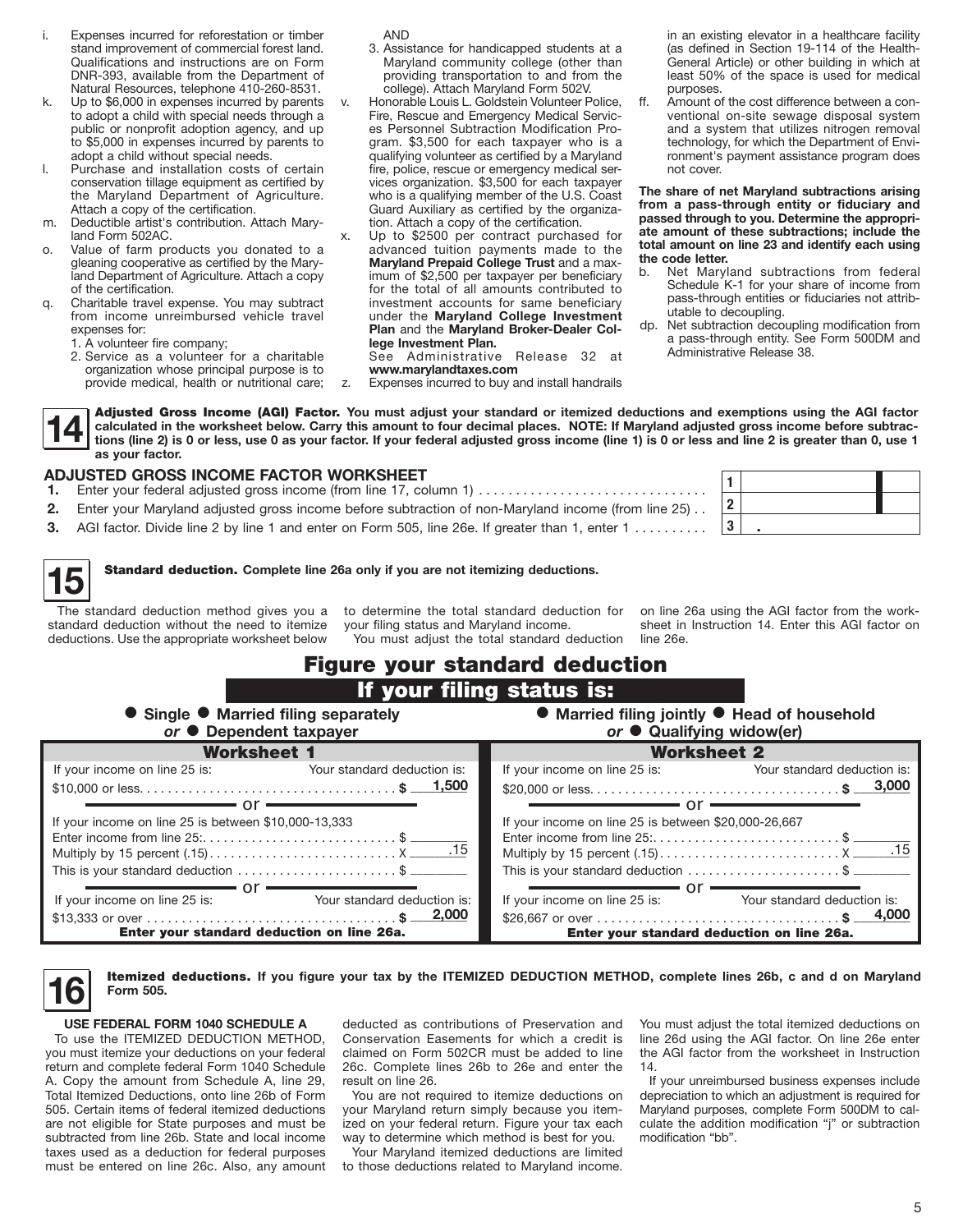- i. Expenses incurred for reforestation or timber stand improvement of commercial forest land. Qualifications and instructions are on Form DNR-393, available from the Department of Natural Resources, telephone 410-260-8531.
- k. Up to \$6,000 in expenses incurred by parents to adopt a child with special needs through a public or nonprofit adoption agency, and up to \$5,000 in expenses incurred by parents to adopt a child without special needs.
- l. Purchase and installation costs of certain conservation tillage equipment as certified by the Maryland Department of Agriculture. Attach a copy of the certification.
- m. Deductible artist's contribution. Attach Maryland Form 502AC.
- o. Value of farm products you donated to a gleaning cooperative as certified by the Maryland Department of Agriculture. Attach a copy of the certification.
- q. Charitable travel expense. You may subtract from income unreimbursed vehicle travel expenses for:
	- 1. A volunteer fire company;
	- 2. Service as a volunteer for a charitable organization whose principal purpose is to provide medical, health or nutritional care;

AND

- 3. Assistance for handicapped students at a Maryland community college (other than providing transportation to and from the college). Attach Maryland Form 502V.
- Honorable Louis L. Goldstein Volunteer Police, Fire, Rescue and Emergency Medical Services Personnel Subtraction Modification Program. \$3,500 for each taxpayer who is a qualifying volunteer as certified by a Maryland fire, police, rescue or emergency medical services organization. \$3,500 for each taxpayer who is a qualifying member of the U.S. Coast Guard Auxiliary as certified by the organization. Attach a copy of the certification.
- Up to \$2500 per contract purchased for advanced tuition payments made to the **Maryland Prepaid College Trust** and a maximum of \$2,500 per taxpayer per beneficiary for the total of all amounts contributed to investment accounts for same beneficiary under the **Maryland College Investment Plan** and the **Maryland Broker-Dealer College Investment Plan.**

z. Expenses incurred to buy and install handrails

**www.marylandtaxes.com**

See Administrative Release 32 at

in an existing elevator in a healthcare facility (as defined in Section 19-114 of the Health-General Article) or other building in which at least 50% of the space is used for medical purposes.

ff. Amount of the cost difference between a conventional on-site sewage disposal system and a system that utilizes nitrogen removal technology, for which the Department of Environment's payment assistance program does not cover.

**The share of net Maryland subtractions arising from a pass-through entity or fiduciary and passed through to you. Determine the appropriate amount of these subtractions; include the total amount on line 23 and identify each using the code letter.**

- b. Net Maryland subtractions from federal Schedule K-1 for your share of income from pass-through entities or fiduciaries not attributable to decoupling.
- dp. Net subtraction decoupling modification from a pass-through entity. See Form 500DM and Administrative Release 38.
- 

Adjusted Gross Income (AGI) Factor. **You must adjust your standard or itemized deductions and exemptions using the AGI factor calculated in the worksheet below. Carry this amount to four decimal places. NOTE: If Maryland adjusted gross income before subtractions (line 2) is 0 or less, use 0 as your factor. If your federal adjusted gross income (line 1) is 0 or less and line 2 is greater than 0, use 1 as your factor.**

### **ADJUSTED GROSS income factor worksheet**

- **1.** Enter your federal adjusted gross income (from line 17, column 1) .
- **2.** Enter your Maryland adjusted gross income before subtraction of non-Maryland income (from line 25) .
- **3.** AGI factor. Divide line 2 by line 1 and enter on Form 505, line 26e. If greater than 1, enter 1 . . . . . . . . .

**1 2 3** .

|--|

**14**

### **15** Standard deduction. **Complete line 26a only if you are not itemizing deductions.**

The standard deduction method gives you a to determine the total standard deduction for standard deduction without the need to itemize deductions. Use the appropriate worksheet below

your filing status and Maryland income. You must adjust the total standard deduction on line 26a using the AGI factor from the worksheet in Instruction 14. Enter this AGI factor on line 26e.

## Figure your standard deduction If your filing status is:

| • Single • Married filing separately<br>or ● Dependent taxpayer         |                             | ● Married filing jointly ● Head of household<br>or ● Qualifying widow(er) |                             |
|-------------------------------------------------------------------------|-----------------------------|---------------------------------------------------------------------------|-----------------------------|
| <b>Worksheet 1</b>                                                      |                             | <b>Worksheet 2</b>                                                        |                             |
| If your income on line 25 is:                                           | Your standard deduction is: | If your income on line 25 is:                                             | Your standard deduction is: |
|                                                                         |                             |                                                                           |                             |
|                                                                         |                             |                                                                           |                             |
| If your income on line 25 is between \$10,000-13,333                    |                             | If your income on line 25 is between \$20,000-26,667                      |                             |
|                                                                         |                             | Enter income from line $25:$ \$                                           |                             |
|                                                                         |                             |                                                                           |                             |
| This is your standard deduction $\ldots \ldots \ldots \ldots \ldots$ \$ |                             | This is your standard deduction \$                                        |                             |
| or                                                                      |                             | or                                                                        |                             |
| If your income on line 25 is: Your standard deduction is:               |                             | If your income on line 25 is: Your standard deduction is:                 |                             |
|                                                                         |                             |                                                                           |                             |
| Enter your standard deduction on line 26a.                              |                             | Enter your standard deduction on line 26a.                                |                             |

#### **16** Itemized deductions. If you figure your tax by the ITEMIZED DEDUCTION METHOD, complete lines 26b, c and d on Maryland **Form 505. Form 505.**

#### **USE FEDERAL FORM 1040 SCHEDULE A** To use the ITEMIZED DEDUCTION METHOD,

you must itemize your deductions on your federal return and complete federal Form 1040 Schedule A. Copy the amount from Schedule A, line 29, Total Itemized Deductions, onto line 26b of Form 505. Certain items of federal itemized deductions are not eligible for State purposes and must be subtracted from line 26b. State and local income taxes used as a deduction for federal purposes must be entered on line 26c. Also, any amount deducted as contributions of Preservation and Conservation Easements for which a credit is claimed on Form 502CR must be added to line 26c. Complete lines 26b to 26e and enter the result on line 26.

You are not required to itemize deductions on your Maryland return simply because you itemized on your federal return. Figure your tax each way to determine which method is best for you.

Your Maryland itemized deductions are limited to those deductions related to Maryland income.

You must adjust the total itemized deductions on line 26d using the AGI factor. On line 26e enter the AGI factor from the worksheet in Instruction 14.

If your unreimbursed business expenses include depreciation to which an adjustment is required for Maryland purposes, complete Form 500DM to calculate the addition modification "j" or subtraction modification "bb".

5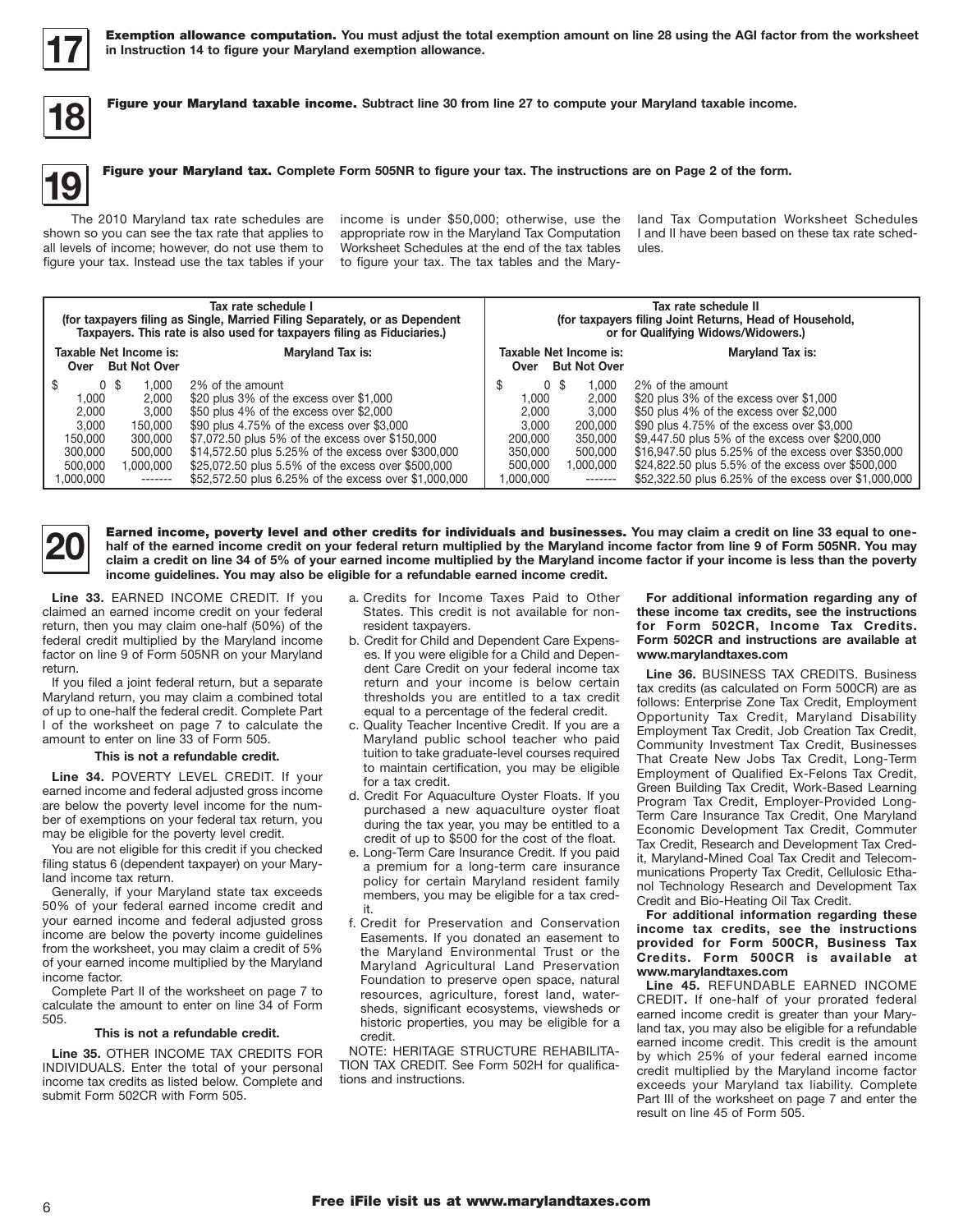

**17** Exemption allowance computation. **You must adjust the total exemption amount on line 28 using the AGI factor from the worksheet in Instruction 14 to figure your Maryland exemption allowance.**



**18** Figure your Maryland taxable income. **Subtract line 30 from line 27 to compute your Maryland taxable income.**

#### **19** Figure your Maryland tax. **Complete Form 505NR to figure your tax. The instructions are on Page 2 of the form.**

The 2010 Maryland tax rate schedules are shown so you can see the tax rate that applies to all levels of income; however, do not use them to figure your tax. Instead use the tax tables if your

income is under \$50,000; otherwise, use the appropriate row in the Maryland Tax Computation Worksheet Schedules at the end of the tax tables to figure your tax. The tax tables and the Maryland Tax Computation Worksheet Schedules I and II have been based on these tax rate schedules.

| Tax rate schedule I<br>(for taxpayers filing as Single, Married Filing Separately, or as Dependent<br>Taxpayers. This rate is also used for taxpayers filing as Fiduciaries.)    |                                                                                                                                                                                                                                                                                                                                                                               |                                                                                     | Tax rate schedule II<br>(for taxpayers filing Joint Returns, Head of Household,<br>or for Qualifying Widows/Widowers.) |                                                                                                                                                                                                                                                                                                                                                                               |  |
|----------------------------------------------------------------------------------------------------------------------------------------------------------------------------------|-------------------------------------------------------------------------------------------------------------------------------------------------------------------------------------------------------------------------------------------------------------------------------------------------------------------------------------------------------------------------------|-------------------------------------------------------------------------------------|------------------------------------------------------------------------------------------------------------------------|-------------------------------------------------------------------------------------------------------------------------------------------------------------------------------------------------------------------------------------------------------------------------------------------------------------------------------------------------------------------------------|--|
| Taxable Net Income is:<br>Over But Not Over                                                                                                                                      | Maryland Tax is:                                                                                                                                                                                                                                                                                                                                                              | Over                                                                                | Taxable Net Income is:<br><b>But Not Over</b>                                                                          | Maryland Tax is:                                                                                                                                                                                                                                                                                                                                                              |  |
| \$<br>0 <sup>5</sup><br>.000<br>1.000<br>2.000<br>2.000<br>3.000<br>3.000<br>150,000<br>150,000<br>300,000<br>300,000<br>500,000<br>500.000<br>1.000.000<br>1.000.000<br>------- | 2% of the amount<br>\$20 plus 3% of the excess over \$1,000<br>\$50 plus 4% of the excess over \$2,000<br>\$90 plus 4.75% of the excess over \$3,000<br>\$7,072.50 plus 5% of the excess over \$150,000<br>\$14,572.50 plus 5.25% of the excess over \$300,000<br>\$25,072.50 plus 5.5% of the excess over \$500,000<br>\$52,572.50 plus 6.25% of the excess over \$1,000,000 | 0 \$<br>\$<br>1.000<br>2.000<br>3.000<br>200.000<br>350,000<br>500.000<br>1.000.000 | 1.000<br>2.000<br>3.000<br>200.000<br>350.000<br>500,000<br>1,000,000<br>-------                                       | 2% of the amount<br>\$20 plus 3% of the excess over \$1,000<br>\$50 plus 4% of the excess over \$2,000<br>\$90 plus 4.75% of the excess over \$3,000<br>\$9,447.50 plus 5% of the excess over \$200,000<br>\$16,947.50 plus 5.25% of the excess over \$350,000<br>\$24,822.50 plus 5.5% of the excess over \$500,000<br>\$52,322.50 plus 6.25% of the excess over \$1,000,000 |  |



**20** Earned income, poverty level and other credits for individuals and businesses. You may claim a credit on line 33 equal to one-<br>
claim a credit on line 34 of 5% of your earned income multiplied by the Maryland income f **half of the earned income credit on your federal return multiplied by the Maryland income factor from line 9 of Form 505NR. You may claim a credit on line 34 of 5% of your earned income multiplied by the Maryland income factor if your income is less than the poverty income guidelines. You may also be eligible for a refundable earned income credit.**

**Line 33.** EARNED INCOME CREDIT. If you claimed an earned income credit on your federal return, then you may claim one-half (50%) of the federal credit multiplied by the Maryland income factor on line 9 of Form 505NR on your Maryland return.

If you filed a joint federal return, but a separate Maryland return, you may claim a combined total of up to one-half the federal credit. Complete Part I of the worksheet on page 7 to calculate the amount to enter on line 33 of Form 505.

#### **This is not a refundable credit.**

**Line 34.** POVERTY LEVEL CREDIT. If your earned income and federal adjusted gross income are below the poverty level income for the number of exemptions on your federal tax return, you may be eligible for the poverty level credit.

You are not eligible for this credit if you checked filing status 6 (dependent taxpayer) on your Maryland income tax return.

Generally, if your Maryland state tax exceeds 50% of your federal earned income credit and your earned income and federal adjusted gross income are below the poverty income guidelines from the worksheet, you may claim a credit of 5% of your earned income multiplied by the Maryland income factor.

Complete Part II of the worksheet on page 7 to calculate the amount to enter on line 34 of Form 505.

#### **This is not a refundable credit.**

**Line 35.** OTHER INCOME TAX CREDITS FOR INDIVIDUALS. Enter the total of your personal income tax credits as listed below. Complete and submit Form 502CR with Form 505.

- a. Credits for Income Taxes Paid to Other States. This credit is not available for nonresident taxpayers.
- b. Credit for Child and Dependent Care Expenses. If you were eligible for a Child and Dependent Care Credit on your federal income tax return and your income is below certain thresholds you are entitled to a tax credit equal to a percentage of the federal credit.
- c. Quality Teacher Incentive Credit. If you are a Maryland public school teacher who paid tuition to take graduate-level courses required to maintain certification, you may be eligible for a tax credit.
- d. Credit For Aquaculture Oyster Floats. If you purchased a new aquaculture oyster float during the tax year, you may be entitled to a credit of up to \$500 for the cost of the float.
- e. Long-Term Care Insurance Credit. If you paid a premium for a long-term care insurance policy for certain Maryland resident family members, you may be eligible for a tax credit.
- f. Credit for Preservation and Conservation Easements. If you donated an easement to the Maryland Environmental Trust or the Maryland Agricultural Land Preservation Foundation to preserve open space, natural resources, agriculture, forest land, watersheds, significant ecosystems, viewsheds or historic properties, you may be eligible for a credit.

NOTE: HERITAGE STRUCTURE REHABILITA-TION TAX CREDIT. See Form 502H for qualifications and instructions.

#### **For additional information regarding any of these income tax credits, see the instructions for Form 502CR, Income Tax Credits. Form 502CR and instructions are available at www.marylandtaxes.com**

**Line 36.** BUSINESS TAX CREDITS. Business tax credits (as calculated on Form 500CR) are as follows: Enterprise Zone Tax Credit, Employment Opportunity Tax Credit, Maryland Disability Employment Tax Credit, Job Creation Tax Credit, Community Investment Tax Credit, Businesses That Create New Jobs Tax Credit, Long-Term Employment of Qualified Ex-Felons Tax Credit, Green Building Tax Credit, Work-Based Learning Program Tax Credit, Employer-Provided Long-Term Care Insurance Tax Credit, One Maryland Economic Development Tax Credit, Commuter Tax Credit, Research and Development Tax Credit, Maryland-Mined Coal Tax Credit and Telecommunications Property Tax Credit, Cellulosic Ethanol Technology Research and Development Tax Credit and Bio-Heating Oil Tax Credit.

**For additional information regarding these income tax credits, see the instructions provided for Form 500CR, Business Tax Credits. Form 500CR is available at www.marylandtaxes.com**

**Line 45.** REFUNDABLE EARNED INCOME CREDIT**.** If one-half of your prorated federal earned income credit is greater than your Maryland tax, you may also be eligible for a refundable earned income credit. This credit is the amount by which 25% of your federal earned income credit multiplied by the Maryland income factor exceeds your Maryland tax liability. Complete Part III of the worksheet on page 7 and enter the result on line 45 of Form 505.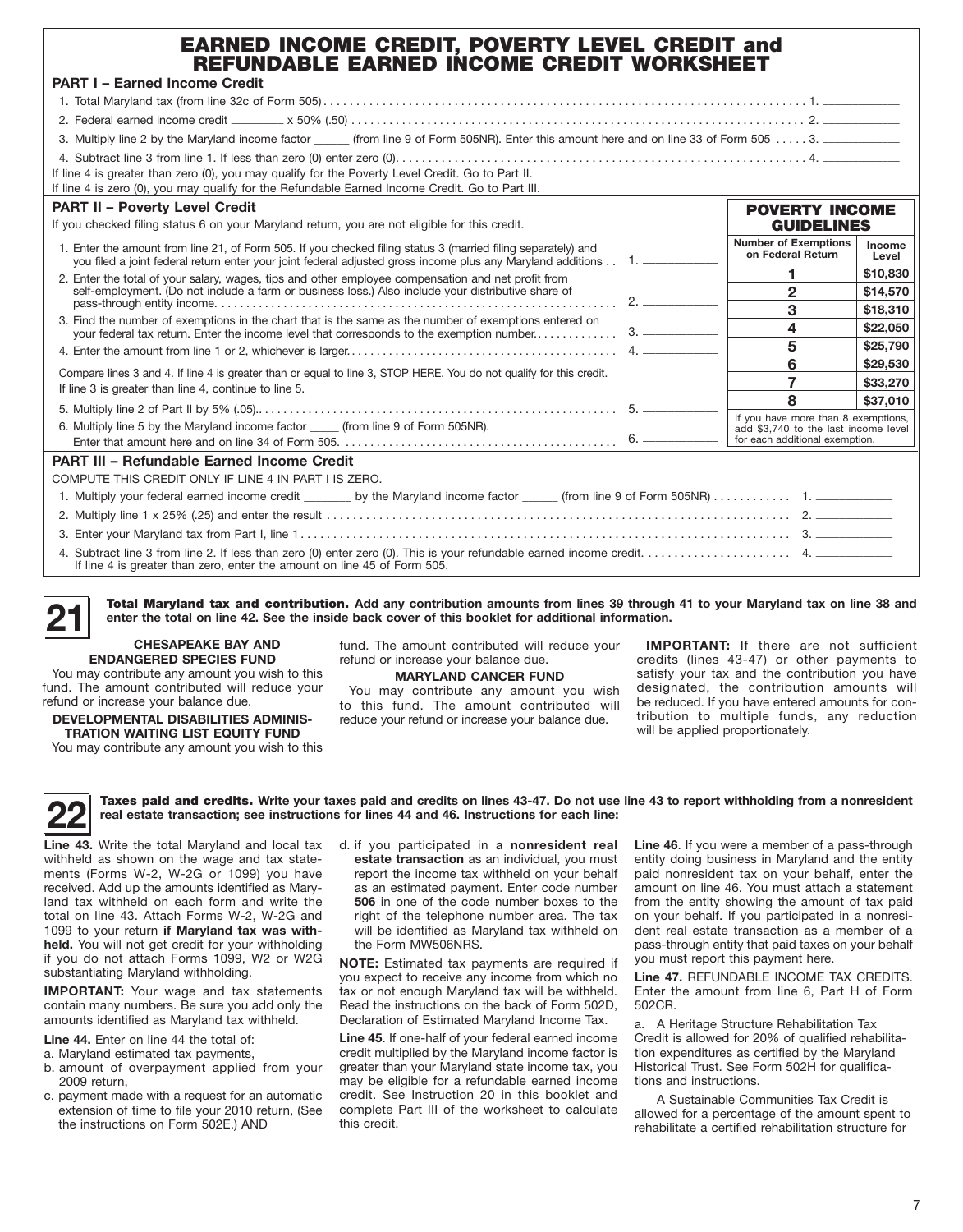| <b>EARNED INCOME CREDIT, POVERTY LEVEL CREDIT and</b><br>REFUNDABLE EARNED INCOME CREDIT WORKSHEET                                                                                                                              |                                                                                                               |                        |
|---------------------------------------------------------------------------------------------------------------------------------------------------------------------------------------------------------------------------------|---------------------------------------------------------------------------------------------------------------|------------------------|
| <b>PART I - Earned Income Credit</b>                                                                                                                                                                                            |                                                                                                               |                        |
|                                                                                                                                                                                                                                 |                                                                                                               |                        |
|                                                                                                                                                                                                                                 |                                                                                                               |                        |
| 3. Multiply line 2 by the Maryland income factor ______ (from line 9 of Form 505NR). Enter this amount here and on line 33 of Form 505 3. __________________                                                                    |                                                                                                               |                        |
| If line 4 is greater than zero (0), you may qualify for the Poverty Level Credit. Go to Part II.                                                                                                                                |                                                                                                               |                        |
| If line 4 is zero (0), you may qualify for the Refundable Earned Income Credit. Go to Part III.                                                                                                                                 |                                                                                                               |                        |
| <b>PART II - Poverty Level Credit</b><br>If you checked filing status 6 on your Maryland return, you are not eligible for this credit.                                                                                          | <b>POVERTY INCOME</b><br><b>GUIDELINES</b>                                                                    |                        |
| 1. Enter the amount from line 21, of Form 505. If you checked filing status 3 (married filing separately) and<br>you filed a joint federal return enter your joint federal adjusted gross income plus any Maryland additions 1. | <b>Number of Exemptions</b><br>on Federal Return                                                              | <b>Income</b><br>Level |
| 2. Enter the total of your salary, wages, tips and other employee compensation and net profit from                                                                                                                              | 1                                                                                                             | \$10,830               |
| self-employment. (Do not include a farm or business loss.) Also include your distributive share of                                                                                                                              | $\mathbf{2}$                                                                                                  | \$14,570               |
|                                                                                                                                                                                                                                 | 3                                                                                                             | \$18,310               |
| 3. Find the number of exemptions in the chart that is the same as the number of exemptions entered on                                                                                                                           | $\overline{\mathbf{4}}$                                                                                       | \$22,050               |
|                                                                                                                                                                                                                                 | 5                                                                                                             | \$25,790               |
| Compare lines 3 and 4. If line 4 is greater than or equal to line 3, STOP HERE. You do not qualify for this credit.                                                                                                             | 6                                                                                                             | \$29,530               |
| If line 3 is greater than line 4, continue to line 5.                                                                                                                                                                           | $\overline{7}$                                                                                                | \$33,270               |
|                                                                                                                                                                                                                                 | 8                                                                                                             | \$37,010               |
| 6. Multiply line 5 by the Maryland income factor (from line 9 of Form 505NR).                                                                                                                                                   | If you have more than 8 exemptions,<br>add \$3.740 to the last income level<br>for each additional exemption. |                        |
| <b>PART III - Refundable Earned Income Credit</b>                                                                                                                                                                               |                                                                                                               |                        |
| COMPUTE THIS CREDIT ONLY IF LINE 4 IN PART I IS ZERO.                                                                                                                                                                           |                                                                                                               |                        |
|                                                                                                                                                                                                                                 |                                                                                                               |                        |
|                                                                                                                                                                                                                                 |                                                                                                               |                        |
|                                                                                                                                                                                                                                 |                                                                                                               |                        |
| If line 4 is greater than zero, enter the amount on line 45 of Form 505.                                                                                                                                                        |                                                                                                               |                        |

**21** Total Maryland tax and contribution. **Add any contribution amounts from lines 39 through 41 to your Maryland tax on line 38 and enter the total on line 42. See the inside back cover of this booklet for additional information.**

#### **CHESAPEAKE BAY AND ENDANGERED SPECIES FUND**

You may contribute any amount you wish to this fund. The amount contributed will reduce your refund or increase your balance due.

#### **DEVELOPMENTAL DISABILITIES ADMINIS-TRATION WAITING LIST EQUITY FUND**

You may contribute any amount you wish to this

fund. The amount contributed will reduce your refund or increase your balance due.

### **MARYLAND CANCER FUND**

You may contribute any amount you wish to this fund. The amount contributed will reduce your refund or increase your balance due.

**IMPORTANT:** If there are not sufficient credits (lines 43-47) or other payments to satisfy your tax and the contribution you have designated, the contribution amounts will be reduced. If you have entered amounts for contribution to multiple funds, any reduction will be applied proportionately.

**22** Taxes paid and credits. **Write your taxes paid and credits on lines 43-47. Do not use line 43 to report withholding from a nonresident real estate transaction; see instructions for lines 44 and 46. Instructions for each line:**

**Line 43.** Write the total Maryland and local tax withheld as shown on the wage and tax statements (Forms W-2, W-2G or 1099) you have received. Add up the amounts identified as Maryland tax withheld on each form and write the total on line 43. Attach Forms W-2, W-2G and 1099 to your return **if Maryland tax was withheld.** You will not get credit for your withholding if you do not attach Forms 1099, W2 or W2G substantiating Maryland withholding.

**IMPORTANT:** Your wage and tax statements contain many numbers. Be sure you add only the amounts identified as Maryland tax withheld.

**Line 44.** Enter on line 44 the total of:

- a. Maryland estimated tax payments,
- b. amount of overpayment applied from your 2009 return,
- c. payment made with a request for an automatic extension of time to file your 2010 return, (See the instructions on Form 502E.) AND

d. if you participated in a **nonresident real estate transaction** as an individual, you must report the income tax withheld on your behalf as an estimated payment. Enter code number **506** in one of the code number boxes to the right of the telephone number area. The tax will be identified as Maryland tax withheld on the Form MW506NRS.

**NOTE:** Estimated tax payments are required if you expect to receive any income from which no tax or not enough Maryland tax will be withheld. Read the instructions on the back of Form 502D, Declaration of Estimated Maryland Income Tax.

**Line 45**. If one-half of your federal earned income credit multiplied by the Maryland income factor is greater than your Maryland state income tax, you may be eligible for a refundable earned income credit. See Instruction 20 in this booklet and complete Part III of the worksheet to calculate this credit.

**Line 46**. If you were a member of a pass-through entity doing business in Maryland and the entity paid nonresident tax on your behalf, enter the amount on line 46. You must attach a statement from the entity showing the amount of tax paid on your behalf. If you participated in a nonresident real estate transaction as a member of a pass-through entity that paid taxes on your behalf you must report this payment here.

**Line 47.** Refundable Income tax credits. Enter the amount from line 6, Part H of Form 502CR.

a. A Heritage Structure Rehabilitation Tax Credit is allowed for 20% of qualified rehabilitation expenditures as certified by the Maryland Historical Trust. See Form 502H for qualifications and instructions.

A Sustainable Communities Tax Credit is allowed for a percentage of the amount spent to rehabilitate a certified rehabilitation structure for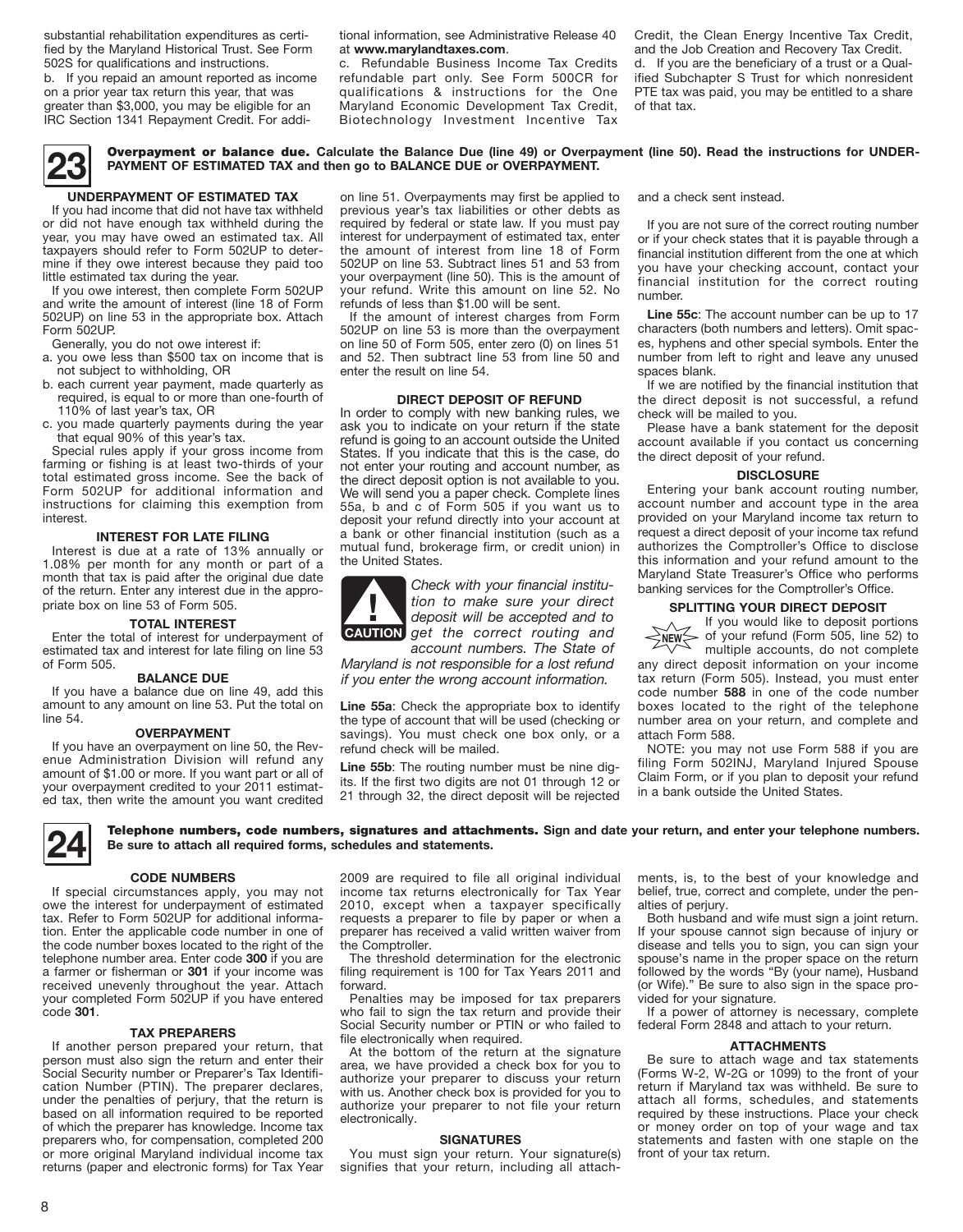substantial rehabilitation expenditures as certified by the Maryland Historical Trust. See Form 502S for qualifications and instructions.

b. If you repaid an amount reported as income on a prior year tax return this year, that was greater than \$3,000, you may be eligible for an IRC Section 1341 Repayment Credit. For addi-

tional information, see Administrative Release 40 at **www.marylandtaxes.com**.

c. Refundable Business Income Tax Credits refundable part only. See Form 500CR for qualifications & instructions for the One Maryland Economic Development Tax Credit, Biotechnology Investment Incentive Tax

Credit, the Clean Energy Incentive Tax Credit, and the Job Creation and Recovery Tax Credit. d. If you are the beneficiary of a trust or a Qualified Subchapter S Trust for which nonresident PTE tax was paid, you may be entitled to a share of that tax.

**23** Overpayment or balance due. **Calculate the Balance Due (line 49) or Overpayment (line 50). Read the instructions for UNDER-PAYMENT OF ESTIMATED TAX and then go to BALANCE DUE or OVERPAYMENT.**

#### **UNDERPAYMENT OF ESTIMATED TAX** If you had income that did not have tax withheld

or did not have enough tax withheld during the year, you may have owed an estimated tax. All taxpayers should refer to Form 502UP to determine if they owe interest because they paid too little estimated tax during the year.

If you owe interest, then complete Form 502UP and write the amount of interest (line 18 of Form 502UP) on line 53 in the appropriate box. Attach Form 502UP.

Generally, you do not owe interest if:

- a. you owe less than \$500 tax on income that is not subject to withholding, OR
- b. each current year payment, made quarterly as required, is equal to or more than one-fourth of 110% of last year's tax, OR
- c. you made quarterly payments during the year that equal 90% of this year's tax.

Special rules apply if your gross income from farming or fishing is at least two-thirds of your total estimated gross income. See the back of Form 502UP for additional information and instructions for claiming this exemption from interest.

#### **Interest for Late Filing**

Interest is due at a rate of 13% annually or 1.08% per month for any month or part of a month that tax is paid after the original due date of the return. Enter any interest due in the appropriate box on line 53 of Form 505.

#### **Total Interest**

Enter the total of interest for underpayment of estimated tax and interest for late filing on line 53 of Form 505.

#### **BALANCE DUE**

If you have a balance due on line 49, add this amount to any amount on line 53. Put the total on line 54.

#### **OVERPAYMENT**

If you have an overpayment on line 50, the Revenue Administration Division will refund any amount of \$1.00 or more. If you want part or all of your overpayment credited to your 2011 estimated tax, then write the amount you want credited

on line 51. Overpayments may first be applied to previous year's tax liabilities or other debts as required by federal or state law. If you must pay interest for underpayment of estimated tax, enter the amount of interest from line 18 of Form 502UP on line 53. Subtract lines 51 and 53 from your overpayment (line 50). This is the amount of your refund. Write this amount on line 52. No refunds of less than \$1.00 will be sent.

If the amount of interest charges from Form 502UP on line 53 is more than the overpayment on line 50 of Form 505, enter zero (0) on lines 51 and 52. Then subtract line 53 from line 50 and enter the result on line 54.

#### **DIRECT DEPOSIT OF REFUND**

In order to comply with new banking rules, we ask you to indicate on your return if the state refund is going to an account outside the United States. If you indicate that this is the case, do not enter your routing and account number, as the direct deposit option is not available to you. We will send you a paper check. Complete lines 55a, b and c of Form 505 if you want us to deposit your refund directly into your account at a bank or other financial institution (such as a mutual fund, brokerage firm, or credit union) in the United States.



*Check with your financial institution to make sure your direct deposit will be accepted and to*  **tion to make sure your direct**<br>deposit will be accepted and to<br>**CAUTION** get the correct routing and

*account numbers. The State of Maryland is not responsible for a lost refund if you enter the wrong account information.*

**Line 55a**: Check the appropriate box to identify the type of account that will be used (checking or savings). You must check one box only, or a refund check will be mailed.

**Line 55b**: The routing number must be nine digits. If the first two digits are not 01 through 12 or 21 through 32, the direct deposit will be rejected and a check sent instead.

If you are not sure of the correct routing number or if your check states that it is payable through a financial institution different from the one at which you have your checking account, contact your financial institution for the correct routing number.

**Line 55c**: The account number can be up to 17 characters (both numbers and letters). Omit spaces, hyphens and other special symbols. Enter the number from left to right and leave any unused spaces blank.

If we are notified by the financial institution that the direct deposit is not successful, a refund check will be mailed to you.

Please have a bank statement for the deposit account available if you contact us concerning the direct deposit of your refund.

#### **DISCLOSURE**

Entering your bank account routing number, account number and account type in the area provided on your Maryland income tax return to request a direct deposit of your income tax refund authorizes the Comptroller's Office to disclose this information and your refund amount to the Maryland State Treasurer's Office who performs banking services for the Comptroller's Office.

#### **SPLITTING YOUR DIRECT DEPOSIT**

If you would like to deposit portions of your refund (Form 505, line 52) to NEW<sub>></sub>

multiple accounts, do not complete any direct deposit information on your income tax return (Form 505). Instead, you must enter code number **588** in one of the code number boxes located to the right of the telephone number area on your return, and complete and attach Form 588.

NOTE: you may not use Form 588 if you are filing Form 502INJ, Maryland Injured Spouse Claim Form, or if you plan to deposit your refund in a bank outside the United States.

**24** Telephone numbers, code numbers, signatures and attachments. **Sign and date your return, and enter your telephone numbers. Be sure to attach all required forms, schedules and statements.**

#### **CODE NUMBERS**

If special circumstances apply, you may not owe the interest for underpayment of estimated tax. Refer to Form 502UP for additional information. Enter the applicable code number in one of the code number boxes located to the right of the telephone number area. Enter code **300** if you are a farmer or fisherman or **301** if your income was received unevenly throughout the year. Attach your completed Form 502UP if you have entered code **301**.

#### **TAX PREPARERS**

If another person prepared your return, that person must also sign the return and enter their Social Security number or Preparer's Tax Identification Number (PTIN). The preparer declares, under the penalties of perjury, that the return is based on all information required to be reported of which the preparer has knowledge. Income tax preparers who, for compensation, completed 200 or more original Maryland individual income tax returns (paper and electronic forms) for Tax Year

2009 are required to file all original individual income tax returns electronically for Tax Year 2010, except when a taxpayer specifically requests a preparer to file by paper or when a preparer has received a valid written waiver from the Comptroller.

The threshold determination for the electronic filing requirement is 100 for Tax Years 2011 and forward.

Penalties may be imposed for tax preparers who fail to sign the tax return and provide their Social Security number or PTIN or who failed to file electronically when required.

At the bottom of the return at the signature area, we have provided a check box for you to authorize your preparer to discuss your return with us. Another check box is provided for you to authorize your preparer to not file your return electronically.

#### **SIGNATURES**

You must sign your return. Your signature(s) signifies that your return, including all attachments, is, to the best of your knowledge and belief, true, correct and complete, under the penalties of perjury.

Both husband and wife must sign a joint return. If your spouse cannot sign because of injury or disease and tells you to sign, you can sign your spouse's name in the proper space on the return followed by the words "By (your name), Husband (or Wife)." Be sure to also sign in the space provided for your signature.

If a power of attorney is necessary, complete federal Form 2848 and attach to your return.

#### **ATTACHMENTS**

Be sure to attach wage and tax statements (Forms W-2, W-2G or 1099) to the front of your return if Maryland tax was withheld. Be sure to attach all forms, schedules, and statements required by these instructions. Place your check or money order on top of your wage and tax statements and fasten with one staple on the front of your tax return.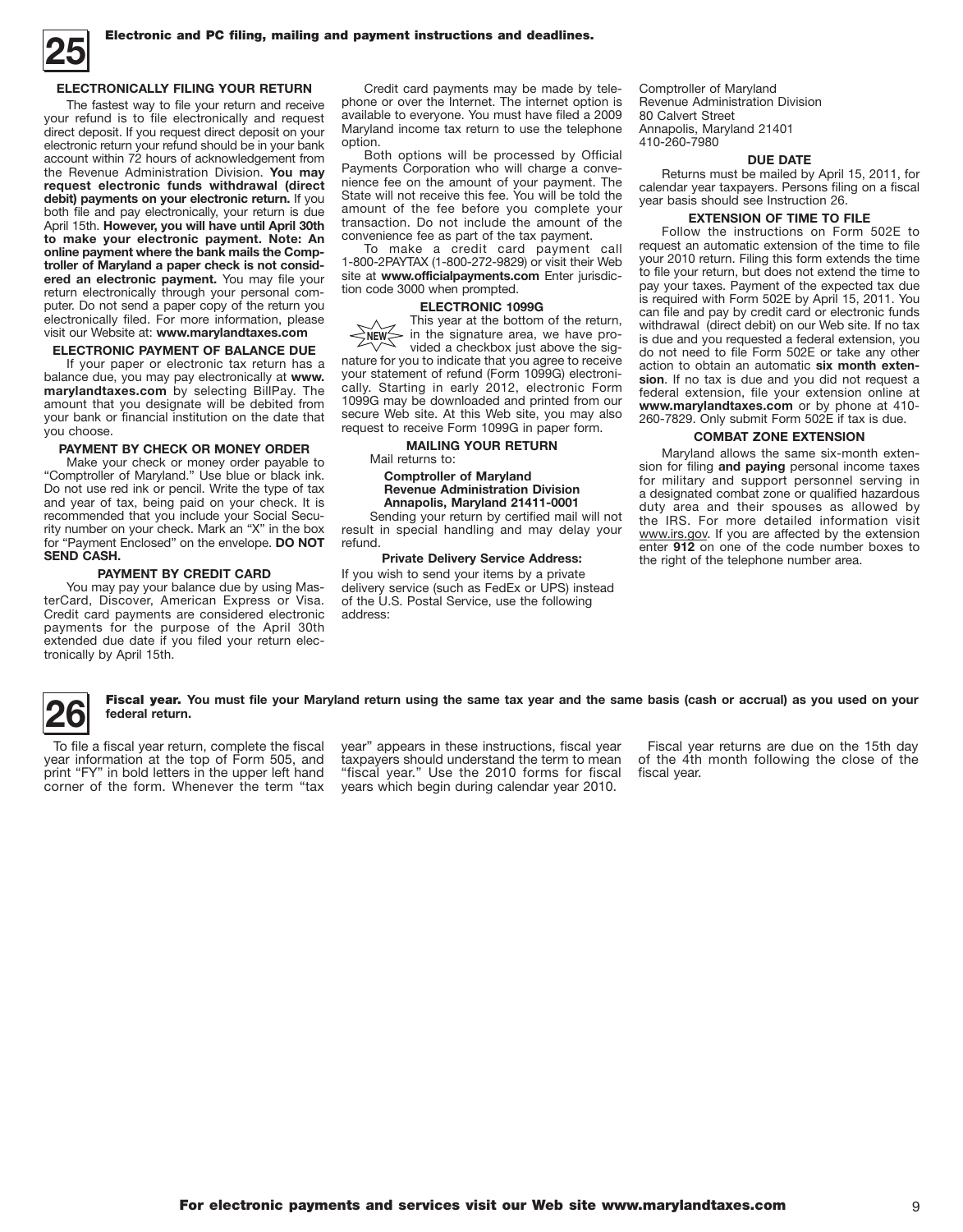

#### **ELECTRONICALLY FILING YOUR RETURN**

The fastest way to file your return and receive your refund is to file electronically and request direct deposit. If you request direct deposit on your electronic return your refund should be in your bank account within 72 hours of acknowledgement from the Revenue Administration Division. **You may request electronic funds withdrawal (direct debit) payments on your electronic return.** If you both file and pay electronically, your return is due April 15th. **However, you will have until April 30th to make your electronic payment. Note: An online payment where the bank mails the Comptroller of Maryland a paper check is not considered an electronic payment.** You may file your return electronically through your personal computer. Do not send a paper copy of the return you electronically filed. For more information, please visit our Website at: **www.marylandtaxes.com**

#### **ELECTRONIC PAYMENT OF BALANCE DUE**

If your paper or electronic tax return has a balance due, you may pay electronically at **www. marylandtaxes.com** by selecting BillPay. The amount that you designate will be debited from your bank or financial institution on the date that you choose.

#### **PAYMENT BY CHECK OR MONEY ORDER**

Make your check or money order payable to "Comptroller of Maryland." Use blue or black ink. Do not use red ink or pencil. Write the type of tax and year of tax, being paid on your check. It is recommended that you include your Social Security number on your check. Mark an "X" in the box for "Payment Enclosed" on the envelope. **DO NOT SEND CASH.**

#### **PAYMENT BY Credit card**

You may pay your balance due by using MasterCard, Discover, American Express or Visa. Credit card payments are considered electronic payments for the purpose of the April 30th extended due date if you filed your return electronically by April 15th.

Credit card payments may be made by telephone or over the Internet. The internet option is available to everyone. You must have filed a 2009 Maryland income tax return to use the telephone option.

Both options will be processed by Official Payments Corporation who will charge a convenience fee on the amount of your payment. The State will not receive this fee. You will be told the amount of the fee before you complete your transaction. Do not include the amount of the convenience fee as part of the tax payment.

To make a credit card payment call 1-800-2PAYTAX (1-800-272-9829) or visit their Web site at **www.officialpayments.com** Enter jurisdiction code 3000 when prompted.

#### **ELECTRONIC 1099G**

This year at the bottom of the return, - in the signature area, we have provided a checkbox just above the signature for you to indicate that you agree to receive your statement of refund (Form 1099G) electronically. Starting in early 2012, electronic Form 1099G may be downloaded and printed from our secure Web site. At this Web site, you may also request to receive Form 1099G in paper form. **NEW**

#### **MAILING YOUR RETURN**

Mail returns to:

#### **Comptroller of Maryland Revenue Administration Division Annapolis, Maryland 21411-0001**

Sending your return by certified mail will not result in special handling and may delay your refund.

#### **Private Delivery Service Address:**

If you wish to send your items by a private delivery service (such as FedEx or UPS) instead of the U.S. Postal Service, use the following address:

Comptroller of Maryland Revenue Administration Division 80 Calvert Street Annapolis, Maryland 21401 410-260-7980

#### **DUE DATE**

Returns must be mailed by April 15, 2011, for calendar year taxpayers. Persons filing on a fiscal year basis should see Instruction 26.

#### **EXTENSION OF TIME TO FILE**

Follow the instructions on Form 502E to request an automatic extension of the time to file your 2010 return. Filing this form extends the time to file your return, but does not extend the time to pay your taxes. Payment of the expected tax due is required with Form 502E by April 15, 2011. You can file and pay by credit card or electronic funds withdrawal (direct debit) on our Web site. If no tax is due and you requested a federal extension, you do not need to file Form 502E or take any other action to obtain an automatic **six month extension**. If no tax is due and you did not request a federal extension, file your extension online at **www.marylandtaxes.com** or by phone at 410- 260-7829. Only submit Form 502E if tax is due.

#### **COMBAT ZONE EXTENSION**

Maryland allows the same six-month extension for filing **and paying** personal income taxes for military and support personnel serving in a designated combat zone or qualified hazardous duty area and their spouses as allowed by the IRS. For more detailed information visit www.irs.gov. If you are affected by the extension enter **912** on one of the code number boxes to the right of the telephone number area.

**26** Fiscal year. You must file your Maryland return using the same tax year and the same basis (cash or accrual) as you used on your <br> **1** federal return. **federal return.**

To file a fiscal year return, complete the fiscal year information at the top of Form 505, and print "FY" in bold letters in the upper left hand corner of the form. Whenever the term "tax year" appears in these instructions, fiscal year taxpayers should understand the term to mean "fiscal year." Use the 2010 forms for fiscal years which begin during calendar year 2010.

Fiscal year returns are due on the 15th day of the 4th month following the close of the fiscal year.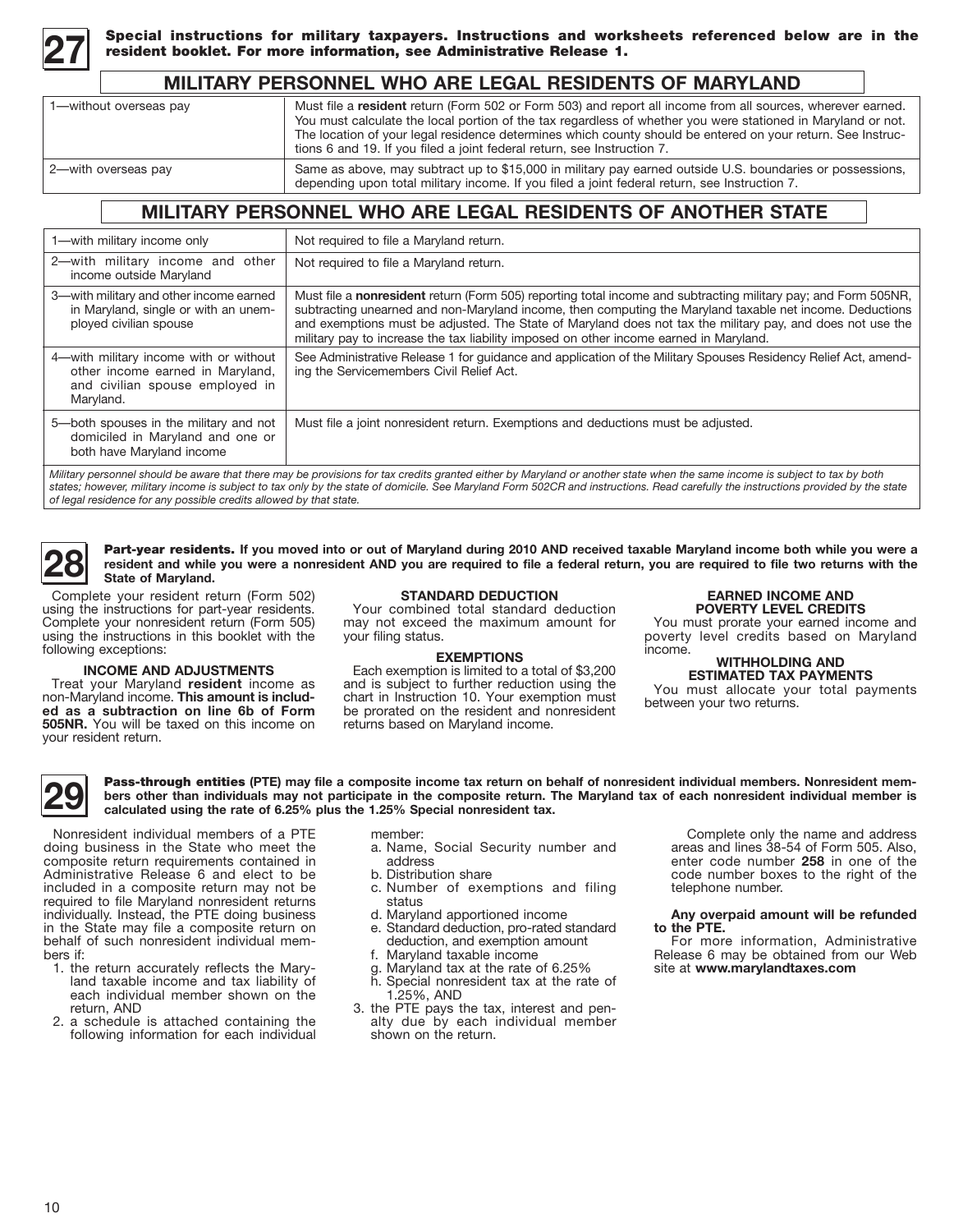

Special instructions for military taxpayers. Instructions and worksheets referenced below are in the<br>resident booklet. For more information, see Administrative Release 1.

### **Military personnel who are legal residents of Maryland**

| 1-without overseas pay | Must file a resident return (Form 502 or Form 503) and report all income from all sources, wherever earned.<br>You must calculate the local portion of the tax regardless of whether you were stationed in Maryland or not.<br>The location of your legal residence determines which county should be entered on your return. See Instruc-<br>tions 6 and 19. If you filed a joint federal return, see Instruction 7. |
|------------------------|-----------------------------------------------------------------------------------------------------------------------------------------------------------------------------------------------------------------------------------------------------------------------------------------------------------------------------------------------------------------------------------------------------------------------|
| 2-with overseas pay    | Same as above, may subtract up to \$15,000 in military pay earned outside U.S. boundaries or possessions,<br>depending upon total military income. If you filed a joint federal return, see Instruction 7.                                                                                                                                                                                                            |

## **Military personnel who are legal residents of another state**

| 1-with military income only                                                                                                                                                                                                                                                                                                                                                                                                           | Not required to file a Maryland return.                                                                                                                                                                                                                                                                                                                                                                                            |  |
|---------------------------------------------------------------------------------------------------------------------------------------------------------------------------------------------------------------------------------------------------------------------------------------------------------------------------------------------------------------------------------------------------------------------------------------|------------------------------------------------------------------------------------------------------------------------------------------------------------------------------------------------------------------------------------------------------------------------------------------------------------------------------------------------------------------------------------------------------------------------------------|--|
| 2-with military income and other<br>income outside Maryland                                                                                                                                                                                                                                                                                                                                                                           | Not required to file a Maryland return.                                                                                                                                                                                                                                                                                                                                                                                            |  |
| 3-with military and other income earned<br>in Maryland, single or with an unem-<br>ployed civilian spouse                                                                                                                                                                                                                                                                                                                             | Must file a nonresident return (Form 505) reporting total income and subtracting military pay; and Form 505NR,<br>subtracting unearned and non-Maryland income, then computing the Maryland taxable net income. Deductions<br>and exemptions must be adjusted. The State of Maryland does not tax the military pay, and does not use the<br>military pay to increase the tax liability imposed on other income earned in Maryland. |  |
| 4-with military income with or without<br>other income earned in Maryland,<br>and civilian spouse employed in<br>Maryland.                                                                                                                                                                                                                                                                                                            | See Administrative Release 1 for guidance and application of the Military Spouses Residency Relief Act, amend-<br>ing the Servicemembers Civil Relief Act.                                                                                                                                                                                                                                                                         |  |
| 5-both spouses in the military and not<br>domiciled in Maryland and one or<br>both have Maryland income                                                                                                                                                                                                                                                                                                                               | Must file a joint nonresident return. Exemptions and deductions must be adjusted.                                                                                                                                                                                                                                                                                                                                                  |  |
| Military personnel should be aware that there may be provisions for tax credits granted either by Maryland or another state when the same income is subject to tax by both<br>states; however, military income is subject to tax only by the state of domicile. See Maryland Form 502CR and instructions. Read carefully the instructions provided by the state<br>of legal residence for any possible credits allowed by that state. |                                                                                                                                                                                                                                                                                                                                                                                                                                    |  |

**28** Part-year residents. If you moved into or out of Maryland during 2010 AND received taxable Maryland income both while you were a **resident** and while you were a nonresident AND you are required to file a federal retur **resident and while you were a nonresident AND you are required to file a federal return, you are required to file two returns with the State of Maryland.**

Complete your resident return (Form 502) using the instructions for part-year residents. Complete your nonresident return (Form 505) using the instructions in this booklet with the following exceptions:

**INCOME AND ADJUSTMENTS** Treat your Maryland **resident** income as non-Maryland income. **This amount is included as a subtraction on line 6b of Form 505NR.** You will be taxed on this income on

#### **STANDARD DEDUCTION**

Your combined total standard deduction may not exceed the maximum amount for your filing status.

#### **EXEMPTIONS**

Each exemption is limited to a total of \$3,200 and is subject to further reduction using the chart in Instruction 10. Your exemption must be prorated on the resident and nonresident returns based on Maryland income.

#### **EARNED INCOME AND POVERTY LEVEL CREDITS**

You must prorate your earned income and poverty level credits based on Maryland income.

#### **WITHHOLDING AND ESTIMATED TAX PAYMENTS**

You must allocate your total payments between your two returns.

your resident return.

**29** Pass-through entities (PTE) may file a composite income tax return on behalf of nonresident individual members. Nonresident mem-<br>
calculated using the rate of 6.25% plus the 1.25% Special nonresident tax. **bers other than individuals may not participate in the composite return. The Maryland tax of each nonresident individual member is calculated using the rate of 6.25% plus the 1.25% Special nonresident tax.**

Nonresident individual members of a PTE doing business in the State who meet the composite return requirements contained in Administrative Release 6 and elect to be included in a composite return may not be required to file Maryland nonresident returns individually. Instead, the PTE doing business in the State may file a composite return on behalf of such nonresident individual mem- bers if:

- 1. the return accurately reflects the Mary- land taxable income and tax liability of each individual member shown on the return, AND
- 2. a schedule is attached containing the following information for each individual

member:

- a. Name, Social Security number and address
- b. Distribution share
- c. Number of exemptions and filing status
- d. Maryland apportioned income
- e. Standard deduction, pro-rated standard deduction, and exemption amount
- f. Maryland taxable income
- g. Maryland tax at the rate of 6.25%
- h. Special nonresident tax at the rate of 1.25%, AND
- 3. the PTE pays the tax, interest and pen- alty due by each individual member shown on the return.

 Complete only the name and address areas and lines 38-54 of Form 505. Also, enter code number **258** in one of the code number boxes to the right of the telephone number.

#### **Any overpaid amount will be refunded to the PTE.**

For more information, Administrative Release 6 may be obtained from our Web site at **www.marylandtaxes.com**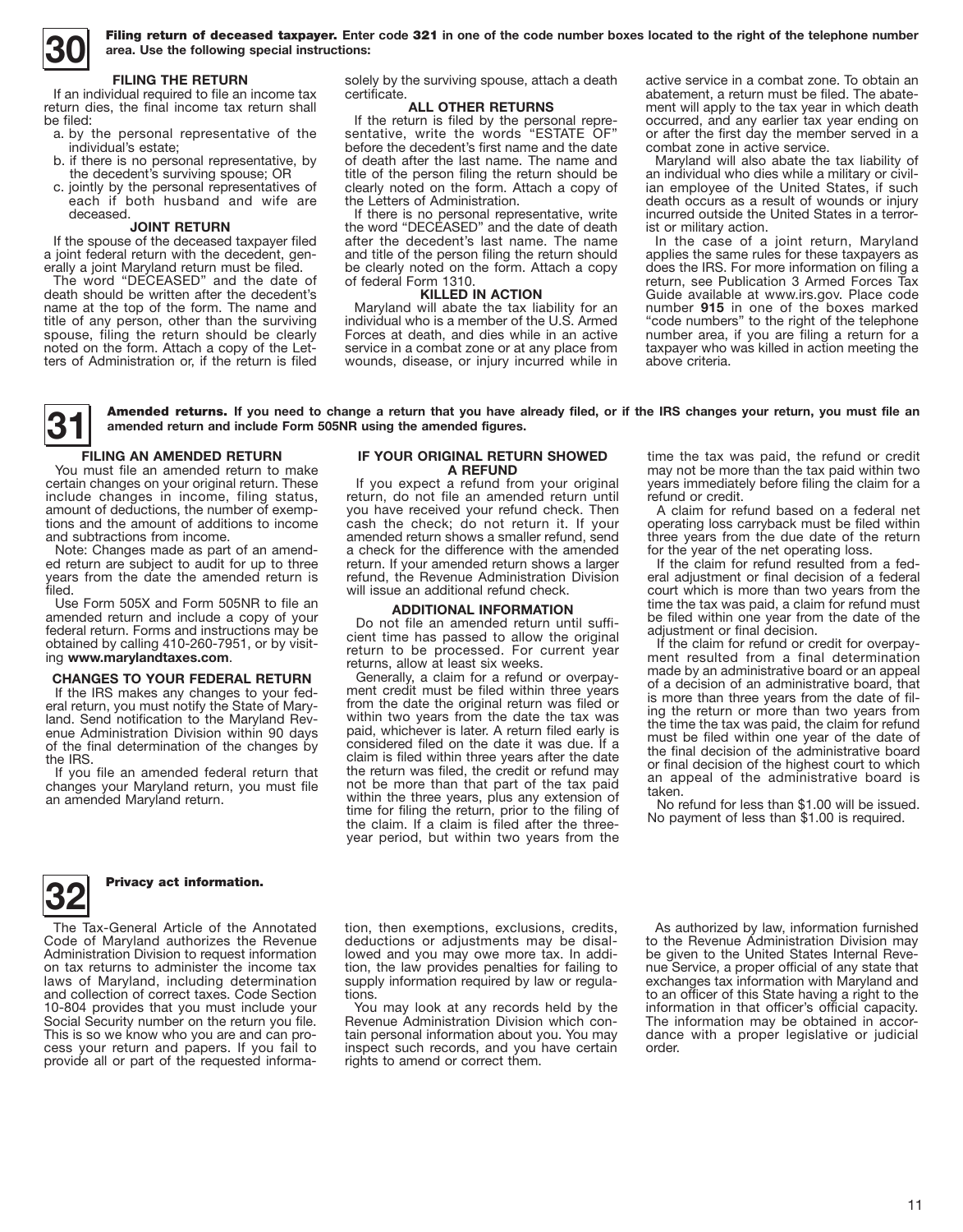**30** Filing return of deceased taxpayer. **Enter code** 321 **in one of the code number boxes located to the right of the telephone number area. Use the following special instructions:**

#### **FILING THE RETURN**

If an individual required to file an income tax return dies, the final income tax return shall be filed:

- a. by the personal representative of the individual's estate;
- b. if there is no personal representative, by the decedent's surviving spouse; OR
- c. jointly by the personal representatives of each if both husband and wife are deceased.

#### **JOINT RETURN**

If the spouse of the deceased taxpayer filed a joint federal return with the decedent, generally a joint Maryland return must be filed.

The word "DECEASED" and the date of death should be written after the decedent's name at the top of the form. The name and title of any person, other than the surviving spouse, filing the return should be clearly noted on the form. Attach a copy of the Letters of Administration or, if the return is filed solely by the surviving spouse, attach a death certificate.

#### **ALL OTHER RETURNS**

If the return is filed by the personal representative, write the words "ESTATE OF" before the decedent's first name and the date of death after the last name. The name and title of the person filing the return should be clearly noted on the form. Attach a copy of the Letters of Administration.

If there is no personal representative, write the word "DECEASED" and the date of death after the decedent's last name. The name and title of the person filing the return should be clearly noted on the form. Attach a copy of federal Form 1310.

#### **KILLED IN ACTION**

Maryland will abate the tax liability for an individual who is a member of the U.S. Armed Forces at death, and dies while in an active service in a combat zone or at any place from wounds, disease, or injury incurred while in active service in a combat zone. To obtain an abatement, a return must be filed. The abatement will apply to the tax year in which death occurred, and any earlier tax year ending on or after the first day the member served in a combat zone in active service.

Maryland will also abate the tax liability of an individual who dies while a military or civilian employee of the United States, if such death occurs as a result of wounds or injury incurred outside the United States in a terrorist or military action.

In the case of a joint return, Maryland applies the same rules for these taxpayers as does the IRS. For more information on filing a return, see Publication 3 Armed Forces Tax Guide available at www.irs.gov. Place code number **915** in one of the boxes marked "code numbers" to the right of the telephone number area, if you are filing a return for a taxpayer who was killed in action meeting the above criteria.

**31** Amended returns. **If you need to change a return that you have already filed, or if the IRS changes your return, you must file an amended return and include Form 505NR using the amended figures.**

#### **FILING AN AMENDED RETURN**

You must file an amended return to make certain changes on your original return. These include changes in income, filing status, amount of deductions, the number of exemptions and the amount of additions to income and subtractions from income.<br>Note: Changes made as part of an amend-

ed return are subject to audit for up to three years from the date the amended return is filed.

Use Form 505X and Form 505NR to file an amended return and include a copy of your federal return. Forms and instructions may be obtained by calling 410-260-7951, or by visit- ing **www.marylandtaxes.com**.

#### **CHANGES TO YOUR FEDERAL RETURN**

If the IRS makes any changes to your federal return, you must notify the State of Maryland. Send notification to the Maryland Revenue Administration Division within 90 days of the final determination of the changes by the IRS.

If you file an amended federal return that changes your Maryland return, you must file an amended Maryland return.

#### **IF YOUR ORIGINAL RETURN SHOWED A REFUND**

If you expect a refund from your original return, do not file an amended return until you have received your refund check. Then cash the check; do not return it. If your amended return shows a smaller refund, send a check for the difference with the amended return. If your amended return shows a larger refund, the Revenue Administration Division will issue an additional refund check.

#### **ADDITIONAL INFORMATION**

Do not file an amended return until sufficient time has passed to allow the original return to be processed. For current year returns, allow at least six weeks.

Generally, a claim for a refund or overpayment credit must be filed within three years from the date the original return was filed or within two years from the date the tax was paid, whichever is later. A return filed early is considered filed on the date it was due. If a claim is filed within three years after the date the return was filed, the credit or refund may not be more than that part of the tax paid within the three years, plus any extension of time for filing the return, prior to the filing of the claim. If a claim is filed after the threeyear period, but within two years from the time the tax was paid, the refund or credit may not be more than the tax paid within two years immediately before filing the claim for a refund or credit.

A claim for refund based on a federal net operating loss carryback must be filed within three years from the due date of the return for the year of the net operating loss.

If the claim for refund resulted from a fed- eral adjustment or final decision of a federal court which is more than two years from the time the tax was paid, a claim for refund must be filed within one year from the date of the adjustment or final decision.

If the claim for refund or credit for overpay- ment resulted from a final determination made by an administrative board or an appeal of a decision of an administrative board, that is more than three years from the date of fil- ing the return or more than two years from the time the tax was paid, the claim for refund must be filed within one year of the date of the final decision of the administrative board or final decision of the highest court to which an appeal of the administrative board is taken.

No refund for less than \$1.00 will be issued. No payment of less than \$1.00 is required.



#### **32** Privacy act information.

The Tax-General Article of the Annotated Code of Maryland authorizes the Revenue Administration Division to request information on tax returns to administer the income tax laws of Maryland, including determination and collection of correct taxes. Code Section 10-804 provides that you must include your Social Security number on the return you file. This is so we know who you are and can process your return and papers. If you fail to provide all or part of the requested informa-

tion, then exemptions, exclusions, credits, deductions or adjustments may be disallowed and you may owe more tax. In addition, the law provides penalties for failing to supply information required by law or regulations.

You may look at any records held by the Revenue Administration Division which contain personal information about you. You may inspect such records, and you have certain rights to amend or correct them.

As authorized by law, information furnished to the Revenue Administration Division may be given to the United States Internal Revenue Service, a proper official of any state that exchanges tax information with Maryland and to an officer of this State having a right to the information in that officer's official capacity. The information may be obtained in accordance with a proper legislative or judicial order.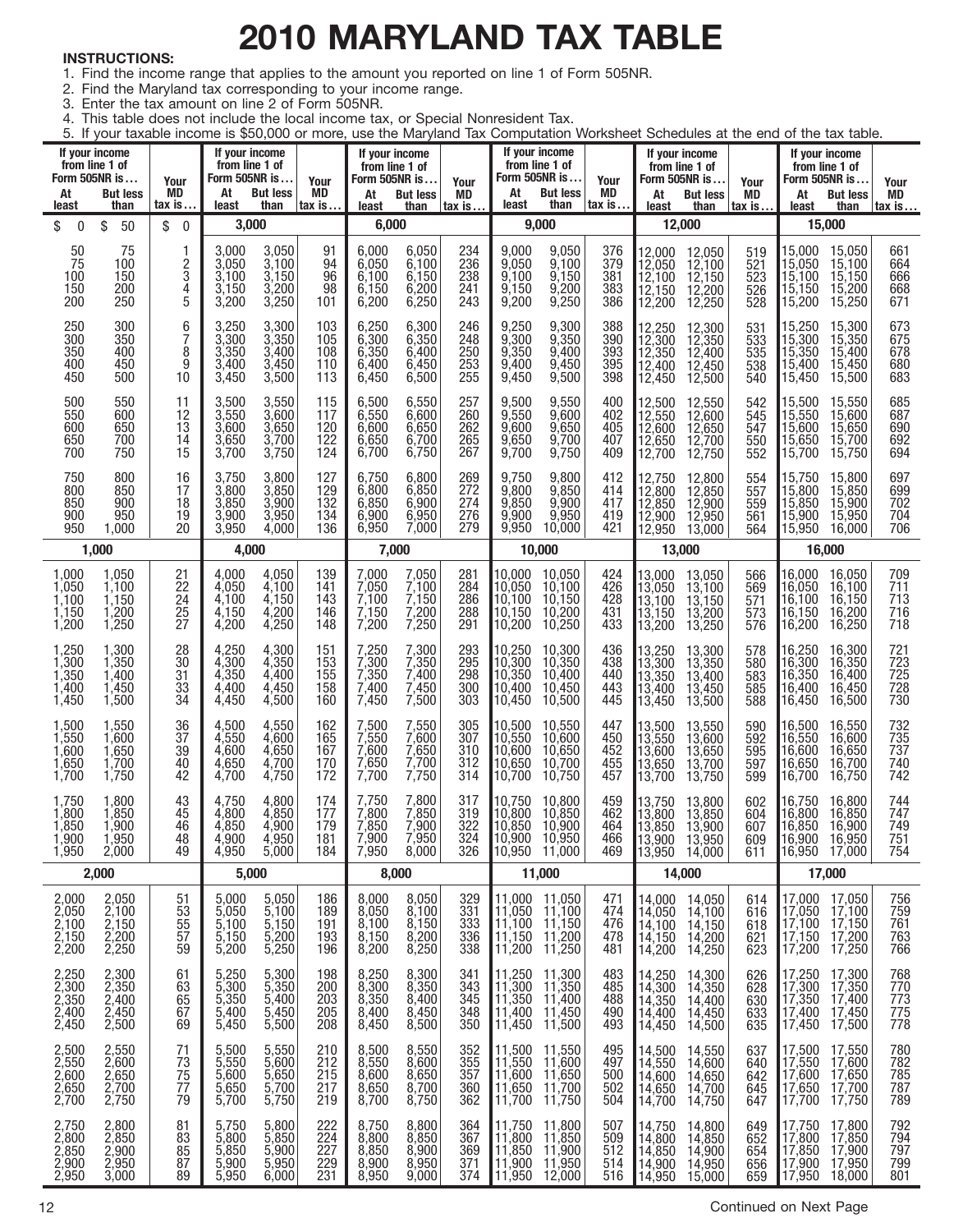# **2010 MARYLAND TAX TABLE**

### **INSTRUCTIONS:**

- 1. Find the income range that applies to the amount you reported on line 1 of Form 505NR.
- 2. Find the Maryland tax corresponding to your income range.
- 3. Enter the tax amount on line 2 of Form 505NR.
- 4. This table does not include the local income tax, or Special Nonresident Tax.

5. If your taxable income is \$50,000 or more, use the Maryland Tax Computation Worksheet Schedules at the end of the tax table.

| At<br>least                                         | If your income<br>from line 1 of<br>Form 505NR is<br><b>But less</b><br>than | Your<br>MD<br>tax is…                          | If your income<br>from line 1 of<br>Form 505NR is<br>At<br>least | <b>But less</b><br>than                          | Your<br>MD<br>∣tax is…                 | If your income<br>from line 1 of<br>Form 505NR is<br>At<br>least | <b>But less</b><br>than                   | Your<br>MD<br>$\mathsf{tax}$ is $\dots$              | Form 505NR is<br>At<br>least                                                  | If your income<br>from line 1 of<br><b>But less</b><br>than     | Your<br>MD<br>tax is…           | At<br>least                                                                               | If your income<br>from line 1 of<br>Form 505NR is<br><b>But less</b><br>than | Your<br>MD<br><u>tax is…</u>           | At<br>least                                    | If your income<br>from line 1 of<br>Form 505NR is<br><b>But less</b><br>than | Your<br>MD<br>tax is                   |
|-----------------------------------------------------|------------------------------------------------------------------------------|------------------------------------------------|------------------------------------------------------------------|--------------------------------------------------|----------------------------------------|------------------------------------------------------------------|-------------------------------------------|------------------------------------------------------|-------------------------------------------------------------------------------|-----------------------------------------------------------------|---------------------------------|-------------------------------------------------------------------------------------------|------------------------------------------------------------------------------|----------------------------------------|------------------------------------------------|------------------------------------------------------------------------------|----------------------------------------|
| \$<br>$\boldsymbol{0}$                              | \$<br>50                                                                     | \$<br>$\boldsymbol{0}$                         | 3,000                                                            |                                                  |                                        | 6,000                                                            |                                           |                                                      |                                                                               | 9,000                                                           |                                 |                                                                                           | 12,000                                                                       |                                        |                                                | 15,000                                                                       |                                        |
| 50<br>75<br>100<br>150<br>200                       | 75<br>100<br>150<br>200<br>250                                               | 1<br>2<br>3<br>4<br>5                          | 3,000<br>3,050<br>3,100<br>3,150<br>3,200                        | 3,050<br>3,100<br>$3,150$<br>$3,200$<br>3,250    | 91<br>94<br>96<br>98<br>101            | 6.000<br>6,050<br>6,100<br>6,150<br>6,200                        | 6,050<br>6,100<br>6,150<br>6,200<br>6,250 | 234<br>236<br>238<br>241<br>243                      | 9.000<br>9.050<br>9,100<br>9,150<br>9,200                                     | 9,050<br>9,100<br>9,150<br>9,200<br>9,250                       | 376<br>379<br>381<br>383<br>386 | 12,000<br>12,050<br>12,100<br>12,150<br>12,200                                            | 12,050<br>12,100<br>$12,150$<br>$12,200$<br>12,250                           | 519<br>$\frac{521}{523}$<br>526<br>528 | 15,000<br>15,050<br>15,100<br>15,150<br>15,200 | 15,050<br>15,100<br>15,150<br>15,200<br>15,250                               | 661<br>664<br>666<br>$\frac{668}{671}$ |
| 250<br>300<br>350<br>400<br>450                     | 300<br>350<br>400<br>450<br>500                                              | 6<br>7<br>8<br>9<br>10                         | 3,250<br>3,300<br>$3,350$<br>$3,400$<br>3,450                    | 3,300<br>3,350<br>$3,400$<br>$3,450$<br>3,500    | 103<br>105<br>108<br>110<br>113        | 6,250<br>6,300<br>6,350<br>6,400<br>6,450                        | 6,300<br>6,350<br>6,400<br>6,450<br>6,500 | 246<br>248<br>250<br>253<br>255                      | 9.250<br>9.300<br>9,350<br>9.400<br>9,450                                     | 9,300<br>9,350<br>9,400<br>9,450<br>9,500                       | 388<br>390<br>393<br>395<br>398 | 12,250<br>12,300<br>12,350<br>12,400<br>12,450                                            | 12,300<br>$\frac{12,350}{12,400}$<br>12,450<br>12,500                        | 531<br>533<br>535<br>538<br>540        | 15,250<br>15,300<br>15,350<br>15,400<br>15,450 | 15,300<br>15,350<br>15,400<br>15,450<br>15,500                               | 673<br>675<br>678<br>$680$<br>$683$    |
| 500<br>550<br>600<br>650<br>700                     | 550<br>600<br>650<br>700<br>750                                              | 11<br>12<br>$1\overline{3}$<br>14<br>15        | 3,500<br>3,550<br>$3,600$<br>$3,650$<br>3,700                    | 3,550<br>3,600<br>3,650<br>3,700<br>3,750        | 115<br>117<br>120<br>122<br>124        | 6,500<br>6,550<br>6,600<br>6,650<br>6,700                        | 6,550<br>6,600<br>6,650<br>6,700<br>6,750 | 257<br>260<br>262<br>$\overline{265}$<br>267         | 9.500<br>9,550<br>9,600<br>9,650<br>9,700                                     | 9,550<br>9,600<br>9,650<br>9,700<br>9,750                       | 400<br>402<br>405<br>407<br>409 | 12,500<br>12,550<br>12,600<br>12,650<br>12,700                                            | 12,550<br>12,600<br>12,650<br>12,700<br>12,750                               | 542<br>545<br>547<br>550<br>552        | 15,500<br>15,550<br>15,600<br>15,650<br>15,700 | 15,550<br>15,600<br>15,650<br>15,700<br>15,750                               | 685<br>$687$<br>$690$<br>$692$<br>694  |
| 750<br>800<br>850<br>900<br>950                     | 800<br>850<br>900<br>950<br>1,000                                            | 16<br>17<br>18<br>19<br>20                     | 3,750<br>3,800<br>3,850<br>3,900<br>3,950                        | 3,800<br>3,850<br>$3,900$<br>$3,950$<br>4,000    | 127<br>129<br>132<br>134<br>136        | 6,750<br>6,800<br>6,850<br>6,900<br>6,950                        | 6,800<br>6,850<br>6,900<br>6,950<br>7,000 | 269<br>272<br>274<br>276<br>279                      | 9,750<br>9.800<br>9,850<br>9,900<br>9,950                                     | 9,800<br>9,850<br>9,900<br>9,950<br>10,000                      | 412<br>414<br>417<br>419<br>421 | 12,750<br>12,800<br>12,850<br>12,900<br>12,950                                            | 12,800<br>12,850<br>12,900<br>12,950<br>13,000                               | 554<br>557<br>559<br>561<br>564        | 15,750<br>15,800<br>15,850<br>15,900<br>15,950 | 15,800<br>15,850<br>15,900<br>15,950<br>16,000                               | 697<br>699<br>702<br>704<br>706        |
|                                                     | 1,000                                                                        |                                                | 4,000                                                            |                                                  |                                        | 7,000                                                            |                                           |                                                      |                                                                               | 10,000                                                          |                                 |                                                                                           | 13,000                                                                       |                                        |                                                | 16,000                                                                       |                                        |
| $1,000$<br>$1,050$<br>$1,100$<br>$1,150$<br>$1,200$ | 1,050<br>1,100<br>1,150<br>1,200<br>1,250                                    | $^{21}_{22}$<br>$\frac{24}{25}$<br>25<br>27    | 4,000<br>4,050<br>4,100<br>4,150<br>4,200                        | 4,050<br>4,100<br>4,150<br>4,200<br>4,250        | 139<br>141<br>143<br>146<br>148        | 7,000<br>7,050<br>7,100<br>7,150<br>7,200                        | 7,050<br>7,100<br>7,150<br>7,200<br>7,250 | 281<br>284<br>286<br>288<br>291                      | 10,000<br>10,050<br>10,100<br>10,150<br>10,200                                | 10,050<br>10,100<br>10,150<br>10,200<br>10,250                  | 424<br>426<br>428<br>431<br>433 | 13,000<br>13,050<br>13,100<br>13,150<br>13,200                                            | 13,050<br>13,100<br>13,150<br>13,200<br>13,250                               | 566<br>569<br>571<br>573<br>576        | 16,000<br>16,050<br>16.100<br>16,150<br>16,200 | 16,050<br>16,100<br>16,150<br>16,200<br>16,250                               | 709<br>711<br>713<br>$\frac{716}{718}$ |
| 1,250<br>1,300<br>1,350<br>$1,400$<br>$1,450$       | 1,300<br>1,350<br>1,400<br>1,450<br>1,500                                    | $\substack{28 \\ 30}$<br>31<br>$\frac{33}{34}$ | 4,250<br>4,300<br>4,350<br>4,400<br>4,450                        | 4,300<br>4,350<br>4,400<br>4,450<br>4,500        | 151<br>153<br>155<br>158<br>160        | 7,250<br>7,300<br>7,350<br>7,400<br>7,450                        | 7,300<br>7,350<br>7,400<br>7,450<br>7,500 | 293<br>295<br>298<br>300<br>303                      | 10,250<br>10,300<br>10,350<br>10,400<br>10,450                                | 10,300<br>10,350<br>10,400<br>10,450<br>10,500                  | 436<br>438<br>440<br>443<br>445 | 13,250<br>$\begin{array}{c} 13,300 \\ 13,350 \end{array}$<br>13,400<br>13,450             | 13,300<br>13,350<br>13,400<br>13,450<br>13,500                               | 578<br>580<br>583<br>585<br>588        | 16,250<br>16,300<br>16,350<br>16,400<br>16,450 | 16,300<br>16,350<br>16,400<br>16,450<br>16,500                               | 721<br>723<br>725<br>728<br>730        |
| 1,500<br>1,550<br>1,600<br>1,650<br>1,700           | 1,550<br>1,600<br>1,650<br>1,700<br>1,750                                    | $\frac{36}{37}$<br>39<br>$\overline{40}$<br>42 | 4,500<br>4,550<br>4,600<br>4,650<br>4,700                        | 4,550<br>4,600<br>4,650<br>4,700<br>4,750        | 162<br>165<br>167<br>170<br>172        | 7,500<br>7,550<br>7,600<br>7,650<br>7,700                        | 7,550<br>7,600<br>7,650<br>7,700<br>7,750 | 305<br>307<br>310<br>312<br>314                      | 10,500<br>10,550<br>10,600<br>10,650<br>10,700                                | 10,550<br>10,600<br>10,650<br>10,700<br>10,750                  | 447<br>450<br>452<br>455<br>457 | 13,500<br>13,550<br>13,600<br>13,650<br>13,700                                            | 13,550<br>13,600<br>13,650<br>13,700<br>13,750                               | 590<br>592<br>595<br>597<br>599        | 16,500<br>16,550<br>16,600<br>16,650<br>16,700 | 16,550<br>16,600<br>16,650<br>16,700<br>16,750                               | 732<br>735<br>737<br>740<br>742        |
| $1,750$<br>$1,800$<br>1,850<br>1,900<br>1,950       | 1,800<br>1,850<br>1,900<br>1,950<br>2,000                                    | 43<br>45<br>46<br>$\ddot{48}$<br>49            | 4,750<br>4,800<br>4,850<br>4,900<br>4,950                        | 4,800<br>4,850<br>4,900<br>4,950<br>5,000        | 174<br>177<br>179<br>181<br>184        | 7,750<br>7,800<br>7,850<br>7,900<br>7,950                        | 7,800<br>7,850<br>7,900<br>7,950<br>8,000 | 317<br>319<br>322<br>324<br>326                      | 10,750<br>10,800<br>10,850<br>10,900<br>10,950                                | 10,800<br>10,850<br>10,900<br>10,950<br>11,000                  | 459<br>462<br>464<br>466<br>469 | 13,750<br>13,800<br>13,850<br>13,900<br>13,950                                            | 13,800<br>13,850<br>13,900<br>13,950<br>14,000                               | 602<br>604<br>607<br>609<br>611        | 16,750<br>16,800<br>16,850<br>16,900<br>16,950 | 16,800<br>16,850<br>16,900<br>16,950<br>17,000                               | 744<br>747<br>749<br>751<br>754        |
|                                                     | 2,000                                                                        |                                                |                                                                  | 5,000                                            |                                        |                                                                  | 8,000                                     |                                                      |                                                                               | 11,000                                                          |                                 |                                                                                           | 14,000                                                                       |                                        |                                                | 17,000                                                                       |                                        |
| 2,000<br>2,050<br>2,100<br>2,150<br>2,200           | 2,050<br>2,100<br>2,150<br>2,200<br>2,250                                    | 51<br>$\overline{53}$<br>55<br>57<br>59        | 5,000<br>5,050<br>5,100<br>$\frac{5,150}{5,200}$                 | 5,050<br>5,100<br>5,150<br>5,200<br>5,250        | 186<br>189<br>191<br>193<br>196        | 8,000<br>8,050<br>8,100<br>8,150<br>8,200                        | 8,050<br>8,100<br>8,150<br>8,200<br>8,250 | 329<br>331<br>$\frac{333}{336}$<br>338               | 11,000<br>$\begin{array}{c} 11,050 \ 11,100 \ 11,150 \ 11,200 \end{array}$    | 11,050<br>11,100<br>$\frac{11,150}{11,200}$<br>11,200<br>11,250 | 471<br>474<br>476<br>478<br>481 | $\begin{array}{c} 14,000 \\ 14,050 \\ 14,100 \\ 14,100 \end{array}$<br> 14,150<br> 14,200 | 14,050<br>14,100<br>14,150<br>14,200<br>14,250                               | 614<br>616<br>618<br>621<br>623        | 17,000<br>17,050<br>17,100<br>17,150<br>17,200 | 17,050<br>17,100<br>17,150<br>17,200<br>17,250                               | 756<br>759<br>761<br>763<br>766        |
| 2,250<br>2,300<br>2,350<br>2,400<br>2,450           | 2,300<br>2,350<br>2,400<br>2,450<br>2,500                                    | 61<br>63<br>65<br>67<br>69                     | 5,250<br>5,300<br>5,350<br>5,400<br>5,450                        | 5,300<br>5,350<br>5,400<br>$\frac{5,450}{5,500}$ | 198<br><b>200</b><br>203<br>205<br>208 | 8,250<br>8,300<br>8,350<br>8,400<br>8,450                        | 8,300<br>8,350<br>8,400<br>8,450<br>8,500 | 341<br>343<br>345<br>348<br>348<br>350               | 11,250<br> 11,300<br> 11,350<br> 11,400<br> 11,450                            | 11,300<br>11,350<br>11,400<br>11,450<br>11,500                  | 483<br>485<br>488<br>490<br>493 | 14,250<br>14,300<br>14,350<br>14,400<br>14,450                                            | 14,300<br>14,350<br>14,400<br>14,450<br>14,500                               | 626<br>628<br>630<br>633<br>635        | 17,250<br>17,300<br>17,350<br>17,400<br>17,450 | 17,300<br>$17,350$<br>$17,400$<br>17,450<br>17,500                           | 768<br>770<br>773<br>775<br>778        |
| 2,500<br>2,550<br>2,600<br>2,650<br>2,700           | 2,550<br>2,600<br>2,650<br>2,700<br>2,750                                    | 71<br>$\frac{73}{2}$<br>75<br>77<br>79         | 5,500<br>5,550<br>5,600<br>5,650<br>5,700                        | 5,550<br>5,600<br>5,650<br>5,700<br>5,750        | 210<br>212<br>215<br>217<br>219        | 8,500<br>8,550<br>8,600<br>8,650<br>8,700                        | 8,550<br>8,600<br>8,650<br>8,700<br>8,750 | 352<br>$\frac{355}{357}$<br>$\frac{360}{360}$<br>362 | $\begin{array}{c} 11,500 \\ 11,550 \\ 11,600 \\ 11,650 \\ 11,700 \end{array}$ | 11,550<br>11,600<br>11,650<br>11,700<br>11,750                  | 495<br>497<br>500<br>502<br>504 | $\begin{array}{c} 14,500 \\ 14,550 \\ 14,600 \end{array}$<br>14,650<br>14,700             | 14,550<br>14,600<br>14,650<br>14,700<br>14,750                               | 637<br>$640$<br>$642$<br>645<br>647    | 17,500<br>17,550<br>17,600<br>17,650<br>17,700 | 17,550<br>17,600<br>17,650<br>17,700<br>17,750                               | 780<br>782<br>785<br>787<br>789        |
| 2,750<br>2,800<br>2,850<br>2,900<br>2,950           | 2,800<br>2,850<br>2,900<br>2,950<br>3,000                                    | 81<br>83<br>85<br>87<br>89                     | 5,750<br>5,800<br>5,850<br>5,900<br>5,950                        | 5,800<br>5,850<br>5,900<br>5,950<br>6,000        | 222<br>224<br>227<br>229<br>231        | 8,750<br>8,800<br>8,850<br>8,900<br>8,950                        | 8,800<br>8,850<br>8,900<br>8,950<br>9,000 | 364<br>367<br>369<br>371<br>374                      | $11,750$<br>$11,800$<br>$11,850$<br>$11,900$<br>11,950                        | 11,800<br>11,850<br>11,950<br>12,000                            | 507<br>509<br>512<br>514<br>516 | 14,750<br>14,800<br>14,850<br>14,900<br>14,950                                            | 14,800<br>14,850<br>14,900<br>14,950<br>15,000                               | 649<br>652<br>654<br>656<br>659        | 17,750<br>17,800<br>17,850<br>17,900<br>17,950 | 17,800<br>17,850<br>17,900<br>17,950<br>18,000                               | 792<br>794<br>797<br>799<br>801        |

12 Continued on Next Page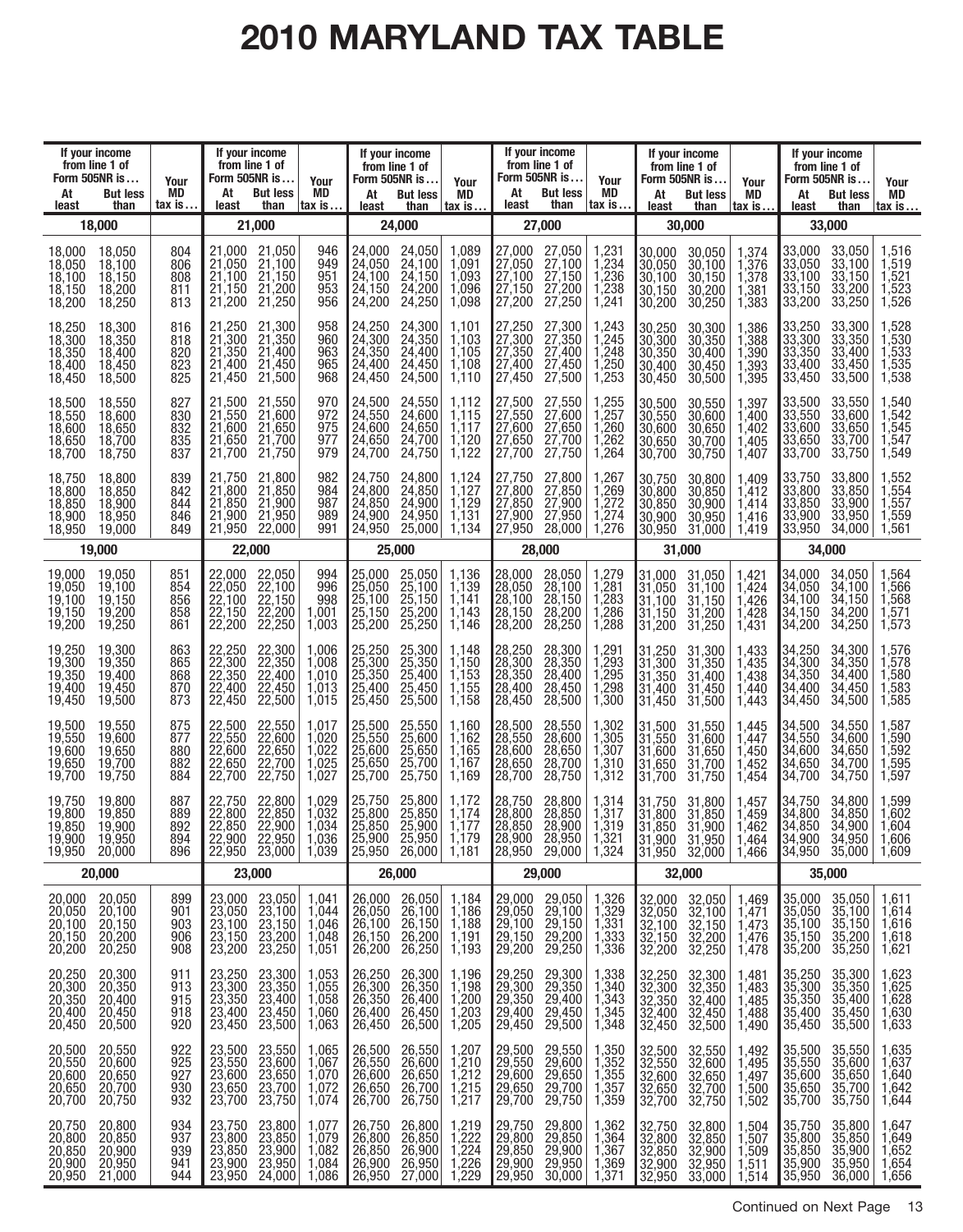# **2010 MARYLAND TAX TABLE**

| At<br>least                                    | If your income<br>from line 1 of<br>Form 505NR is<br><b>But less</b><br>than | Your<br>MD<br>$\mathsf{tax}$ is     | If your income<br>from line 1 of<br>Form 505NR is<br>At<br>least | <b>But less</b><br>than                                         | Your<br>MD<br>$\mathsf{tax}$ is $\ldots$                                 | At<br>least                                                                                           | If your income<br>from line 1 of<br>Form 505NR is<br><b>But less</b><br>than | Your<br>MD<br>$\mathsf{tax}$ is $\ldots$           | At<br>least                                              | If your income<br>from line 1 of<br>Form 505NR is<br><b>But less</b><br>than          | Your<br>MD<br>tax is                              | At<br>least                                                                             | If your income<br>from line 1 of<br>Form 505NR is<br><b>But less</b><br>than | Your<br>MD<br>$\mathsf{tax}$ is $\ldots$      | At<br>least                                    | If your income<br>from line 1 of<br>Form 505NR is<br><b>But less</b><br>than | Your<br>MD<br>tax is                                                     |
|------------------------------------------------|------------------------------------------------------------------------------|-------------------------------------|------------------------------------------------------------------|-----------------------------------------------------------------|--------------------------------------------------------------------------|-------------------------------------------------------------------------------------------------------|------------------------------------------------------------------------------|----------------------------------------------------|----------------------------------------------------------|---------------------------------------------------------------------------------------|---------------------------------------------------|-----------------------------------------------------------------------------------------|------------------------------------------------------------------------------|-----------------------------------------------|------------------------------------------------|------------------------------------------------------------------------------|--------------------------------------------------------------------------|
|                                                | 18,000                                                                       |                                     |                                                                  | 21,000                                                          |                                                                          |                                                                                                       | 24,000                                                                       |                                                    |                                                          | 27,000                                                                                |                                                   |                                                                                         | 30,000                                                                       |                                               |                                                | 33,000                                                                       |                                                                          |
| 18,000<br>18,050<br>18,100<br>18,150<br>18,200 | 18,050<br>18,100<br>18,150<br>18,200<br>18,250                               | 804<br>806<br>808<br>811<br>813     | 21.000<br>21,050<br>21,100<br>21,150<br>21,200                   | 21,050<br>21,100<br>21,150<br>21,200<br>21,250                  | 946<br>949<br>951<br>953<br>956                                          | 24,000<br>24,050<br>24,100<br>24,150<br>24,200                                                        | 24,050<br>24,100<br>24,150<br>24,200<br>24,250                               | 1,089<br>1,091<br>1,093<br>1,096<br>1,098          | 27,000<br>27,050<br>27,100<br>27,150<br>27,200           | 27,050<br>27,100<br>27,150<br>27,200<br>27,250                                        | 1,231<br>1,234<br>1,236<br>1,238<br>1,241         | 30,000<br>30,050<br>30,100<br>30,150<br>30,200                                          | 30,050<br>30,100<br>30,150<br>30,200<br>30,250                               | ,374<br>1,376<br>1,378<br>1,381<br>1,383      | 33.000<br>33,050<br>33,100<br>33,150<br>33,200 | 33,050<br>33,100<br>33,150<br>33,200<br>33,250                               | 1,516<br>1,519<br>1,521<br>1,523<br>1,526                                |
| 18,250<br>18,300<br>18,350<br>18,400<br>18,450 | 18,300<br>18,350<br>18,400<br>18.450<br>18,500                               | 816<br>818<br>820<br>823<br>825     | 21,250<br>21,300<br>21,350<br>21,400<br>21,450                   | 21,300<br>21,350<br>21,400<br>21,450<br>21,500                  | 958<br>960<br>963<br>965<br>968                                          | 24,250<br>24,300<br>24,350<br>24,400<br>24,450                                                        | 24,300<br>24,350<br>24,400<br>24,450<br>24,500                               | $1,10^{-}$<br>1,103<br>1,105<br>1,108<br>1,110     | 27,250<br>27,300<br>27,350<br>27,400<br>27,450           | 27,300<br>27,350<br>27,400<br>27,450<br>27,500                                        | 1,243<br>1,245<br>1,248<br>1,250<br>1,253         | 30,250<br>30,300<br>30,350<br>30.400<br>30,450                                          | 30,300<br>30,350<br>30,400<br>30,450<br>30,500                               | .386<br>1,388<br>1,390<br>,393<br>1,395       | 33,250<br>33,300<br>33,350<br>33,400<br>33,450 | 33,300<br>33,350<br>33,400<br>33,450<br>33,500                               | 1,528<br>1,530<br>1,533<br>1,535<br>1.538                                |
| 18,500<br>18,550<br>18,600<br>18,650<br>18,700 | 18,550<br>18,600<br>18,650<br>18.700<br>18,750                               | 827<br>830<br>832<br>835<br>837     | 21,500<br>21,550<br>21,600<br>21,650<br>21,700                   | 21,550<br>21,600<br>21,650<br>21,700<br>21,750                  | 970<br>972<br>975<br>977<br>979                                          | 24,500<br>24,550<br>24,600<br>24,650<br>24,700                                                        | 24,550<br>24,600<br>24,650<br>24,700<br>24,750                               | 1,112<br>1,115<br>1,117<br>1,120<br>1,122          | 27,500<br>27,550<br>27,600<br>27,650<br>27,700           | 27,550<br>27,600<br>27,650<br>27,700<br>27,750                                        | 1,255<br>1,257<br>1,260<br>1,262<br>1,264         | 30,500<br>30,550<br>30,600<br>30,650<br>30,700                                          | 30,550<br>30,600<br>30,650<br>30,700<br>30,750                               | .397<br>1.400<br>1.402<br>1.405<br>1,407      | 33,500<br>33,550<br>33,600<br>33,650<br>33,700 | 33,550<br>33,600<br>33,650<br>33,700<br>33,750                               | .540<br>1,542<br>1,545<br>1,547<br>1,549                                 |
| 18,750<br>18,800<br>18,850<br>18,900<br>18,950 | 18,800<br>18,850<br>18,900<br>18,950<br>19,000                               | 839<br>842<br>844<br>846<br>849     | 21,750<br>21,800<br>21,850<br>21,900<br>21,950                   | 21,800<br>21,850<br>21,900<br>21,950<br>22,000                  | 982<br>984<br>987<br>989<br>991                                          | 24,750<br>24,800<br>24,850<br>24,900<br>24,950                                                        | 24,800<br>24,850<br>24,900<br>24,950<br>25,000                               | 1,124<br>1,127<br>1,129<br>1,131<br>1,134          | 27,750<br>27,800<br>27,850<br>27,900<br>27,950           | 27,800<br>27,850<br>27,900<br>27,950<br>28,000                                        | 1,267<br>1,269<br>1,272<br>1,274<br>1,276         | 30,750<br>30,800<br>30,850<br>30,900<br>30,950                                          | 30,800<br>30,850<br>30,900<br>30,950<br>31,000                               | .409<br>1,412<br>1.414<br>1,416<br>1,419      | 33,750<br>33,800<br>33,850<br>33,900<br>33,950 | 33,800<br>33,850<br>33,900<br>33,950<br>34,000                               | 1,552<br>1,554<br>1,557<br>1,559<br>1,561                                |
|                                                | 19,000                                                                       |                                     | 22,000                                                           |                                                                 |                                                                          |                                                                                                       | 25,000                                                                       |                                                    |                                                          | 28,000                                                                                |                                                   |                                                                                         | 31,000                                                                       |                                               |                                                | 34,000                                                                       |                                                                          |
| 19,000<br>19,050<br>19.100<br>19,150<br>19,200 | 19,050<br>19,100<br>19.150<br>19,200<br>19,250                               | 851<br>854<br>856<br>858<br>861     | 22,000<br>22,050<br>22,100<br>22,150<br>22,200                   | 22,050<br>22,100<br>22,150<br>22,200<br>22,250                  | 994<br>996<br>998<br>1,001<br>1,003                                      | 25,000<br>25,050<br>25,100<br>25,150<br>25,200                                                        | 25,050<br>25,100<br>25,150<br>25,200<br>25,250                               | 1,136<br>1,139<br>1.141<br>1,143<br>1,146          | 28,000<br>28,050<br>28,100<br>28,150<br>28,200           | 28,050<br>28,100<br>28,150<br>28,200<br>28,250                                        | ,279<br>1,281<br>1,283<br>1,286<br>1,288          | 31.000<br>$\begin{array}{c} 31,050 \\ 31,100 \\ 31,150 \end{array}$<br> 31,200          | 31.050<br>31,100<br>31,150<br>31,200<br>31,250                               | .421<br>1,424<br>1,426<br>,428<br>1,431       | 34,000<br>34.050<br>34,100<br>34,150<br>34,200 | 34,050<br>34,100<br>34,150<br>34,200<br>34,250                               | ,564<br>1,566<br>1,568<br>,571<br>1,573                                  |
| 19,250<br>19,300<br>19,350<br>19,400<br>19,450 | 19,300<br>19,350<br>19.400<br>19,450<br>19,500                               | 863<br>865<br>868<br>870<br>873     | 22,250<br>22,300<br>22.350<br>22,400<br>22,450                   | 22,300<br>22,350<br>22,400<br>22,450<br>22,500                  | 1,006<br>1,008<br>1,010<br>1,013<br>1,015                                | 25,250<br>25,300<br>25,400<br>25,450                                                                  | 25,300<br>25,350<br>25,400<br>25,450<br>25,500                               | 1,148<br>1,150<br>1,153<br>1,155<br>1,158          | 28,250<br>28,300<br>28,350<br>28,400<br>28,450           | 28,300<br>28,350<br>28,400<br>28,450<br>28,500                                        | 1,29<br>1,293<br>1,295<br>1,298<br>1,300          | 31,250<br>31,300<br>$\begin{bmatrix} 31,350 \\ 31,400 \end{bmatrix}$<br>31,450          | 31,300<br>31,350<br>31,400<br>31,450<br>31,500                               | 1,433<br>1,435<br>1,438<br>.440<br>1,443      | 34,250<br>34,300<br>34,350<br>34,400<br>34,450 | 34,300<br>34,350<br>34,400<br>34,450<br>34,500                               | ,576<br>1,578<br>1,580<br>,583<br>1,585                                  |
| 19,500<br>19,550<br>19,600<br>19,650<br>19,700 | 19,550<br>19,600<br>19.650<br>19,700<br>19,750                               | 875<br>877<br>880<br>882<br>884     | 22,500<br>22,550<br>22,600<br>22,650<br>22,700                   | 22,550<br>22,600<br>22,650<br>22,700<br>22,750                  | 1,017<br>1,020<br>1,022<br>1,025<br>1,027                                | 25,500<br>25,550<br>25,600<br>25,650<br>25,700                                                        | 25,550<br>25,600<br>25,650<br>25,700<br>25,750                               | 1,160<br>1,162<br>1,165<br>1,167<br>1,169          | 28,500<br>28,550<br>28,600<br>28,650<br>28,700           | 28,550<br>28,600<br>28,650<br>28,700<br>28,750                                        | 1,302<br>1,305<br>1,307<br>1,310<br>1,312         | 31,500<br>$\begin{array}{c} 31,550 \\ 31,600 \\ 31,650 \\ 31,550 \end{array}$<br>31,700 | 31,550<br>31,600<br>31,650<br>31,700<br>31,750                               | 1,445<br>1,447<br>1.450<br>$-452$<br>1,454    | 34,500<br>34,550<br>34,600<br>34,650<br>34,700 | 34,550<br>34,600<br>34,650<br>34,700<br>34,750                               | ,587<br>1,590<br>1,592<br>1,595<br>1,597                                 |
| 19,750<br>19,800<br>19,850<br>19,900<br>19,950 | 19,800<br>19,850<br>19.900<br>19,950<br>20,000                               | 887<br>889<br>892<br>894<br>896     | 22,750<br>22,800<br>22,850<br>22,900                             | 22,800<br>22,850<br>22,900<br>22,950<br>$22,950$ $23,000$ 1,039 | 1,029<br>1,032<br>1,034<br>1,036                                         | 25,750<br>25,800<br>25,850<br>25,900<br>$\overline{25},\overline{950}$ $\overline{26},\overline{000}$ | 25,800<br>25,850<br>25,900<br>25,950                                         | 1,172<br>1,174<br>1,177<br>1,179<br>1,181          | 28,750<br>28,800<br>28,850<br>28,900                     | 28,800<br>28,850<br>28,900<br>28,950<br>$\overline{28,950}$ $\overline{29,000}$ 1,324 | 1,314<br>$\frac{1,317}{1,319}$<br>1,321           | 31,750<br>31,800<br>$31,850$<br>$31,900$                                                | 31,800<br>31,850<br>31,900<br>31,950<br>$31,950$ $32,000$   1,466            | 1,457<br>1,459<br>1,462<br>1.464              | 34,750<br>34.800<br>34,850<br>34,900           | 34,800<br>34,850<br>34,900<br>34,950<br>34,950 35,000                        | ,599<br>1,602<br>1,604<br>1,606<br>1,609                                 |
|                                                | 20,000                                                                       |                                     |                                                                  | 23,000                                                          |                                                                          |                                                                                                       | 26,000                                                                       |                                                    |                                                          | 29,000                                                                                |                                                   |                                                                                         | 32,000                                                                       |                                               |                                                | 35,000                                                                       |                                                                          |
| 20,000<br>20,050<br>20,100<br>20,150<br>20,200 | 20,050<br>20,100<br>20,150<br>20,250                                         | 899<br>901<br>903<br>906<br>908     | 23,000<br>23,050<br>23,100<br>23,150<br>23,200                   | 23,050<br>23,100<br>23,150<br>23,200<br>23,250                  | 1,041<br>1,044<br>1,046<br>1,048<br>1,051                                | 26,000<br>26,050<br>26,100<br>26,150<br>26,200                                                        | 26,050<br>26,100<br>26,150<br>26,200<br>26,250                               | 1,184<br>1,186<br>1,188<br>1,191<br>1,193          | 29,000<br>29,050<br>29,100<br>29,150<br>29,200           | 29,050<br>29,100<br>29,150<br>29,200<br>29,250                                        | 1,326<br>1,329<br>1,331<br>1,333<br>1,336         | 32,000<br>32,050<br>32,100<br>32,150<br>32,200                                          | 32,050<br>32,100<br>32,150<br>32,200<br>32,250                               | 1,469<br>$1,471$<br>$1,473$<br>1,476<br>1,478 | 35,000<br>35,050<br>35,100<br>35,150<br>35,200 | 35,050<br>35,100<br>35,150<br>35,200<br>35,250                               | 1,611<br>1,614<br>1,616<br>1,618<br>1,621                                |
| 20,250<br>20,300<br>20,350<br>20,400<br>20,450 | 20,300<br>20,350<br>20,400<br>20,450<br>20,500                               | 911<br>913<br>915<br>918<br>920     | 23,250<br>23,300<br>23,350<br>23,400<br>23,450                   | 23,300<br>23,350<br>23,400<br>23,450<br>23,500                  | $\begin{array}{c} 1,053 \\ 1,055 \\ 1,058 \end{array}$<br>1,060<br>1,063 | 26,250<br>26,300<br>26,350<br>26,400<br>26,450                                                        | 26,300<br>26,350<br>26,400<br>26,450<br>26,500                               | 1,196<br>1,198<br>1,200<br>1,203<br>1,995<br>1,205 | 29,250<br>29,300<br>29,350<br>29,400<br>29,450           | 29,300<br>29,350<br>29,400<br>29,450<br>29,500                                        | 1,338<br>1,340<br>1,343<br>1,345<br>1,348         | 32,250<br>32,300<br>32,350<br>32,400<br>32,450                                          | 32,300<br>32,350<br>32,400<br>32,450<br>32,500                               | 1,481<br>$1,483$<br>$1,485$<br>1,488<br>1,490 | 35,250<br>35,300<br>35,350<br>35,400<br>35,450 | 35,300<br>35,350<br>35,400<br>35,450<br>35,500                               | 1,623<br>1,625<br>1,628<br>$1,630$<br>$1,633$                            |
| 20,500<br>20,550<br>20,600<br>20,650<br>20,700 | 20,550<br>20,600<br>20,650<br>20,750                                         | $922$<br>$925$<br>927<br>930<br>932 | 23,500<br>23,550<br>23,600<br>23,650<br>23,700                   | 23,550<br>23,600<br>23,650<br>23,700<br>23,750                  | $\begin{array}{c} 1,065 \\ 1,067 \\ 1,070 \end{array}$<br>1,072<br>1,074 | 26,500<br>26,550<br>26,600<br>26,650<br>26,700                                                        | 26,550<br>26,600<br>26,650<br>26,700<br>26,750                               | 1,207<br>1,210<br>1,212<br>1,215<br>1,217          | 29,500<br>29,550<br>29,600<br>29,650<br>20,700<br>29,700 | 29,550<br>29,600<br>29,650<br>29,700<br>29,750                                        | $1,350$<br>$1,352$<br>$1,355$<br>$1,357$<br>1,359 | 32,500<br>32,550<br>32,600<br>32,650<br>32,700                                          | 32,550<br>32,600<br>32,650<br>32,700<br>32,750                               | 1,492<br>$1,495$<br>$1,497$<br>1,500<br>1,502 | 35,500<br>35,550<br>35,600<br>35,650<br>35,700 | 35,550<br>35,600<br>35,650<br>35,700<br>35,750                               | 1,635<br>1,637<br>1,640<br>$1,642$<br>$1,644$                            |
| 20,750<br>20,800<br>20,850<br>20,900<br>20,950 | 20,800<br>20,850<br>20,900<br>21,000                                         | 934<br>937<br>939<br>941<br>944     | 23,750<br>23,800<br>23,850<br>23,900<br>23,950                   | 23,800<br>23,850<br>23,900<br>23,950<br>24,000                  | 1,077<br>1,079<br>1,082<br>1,084<br>1,086                                | 26,750<br>26,800<br>26,850<br>26,900<br>26,950                                                        | 26,800<br>26,850<br>26,900<br>26,950<br>27,000                               | 1,219<br>1,222<br>1,224<br>1,226<br>1,229          | 29,750<br>29,800<br>29,850<br>29,900<br>29,950           | 29,800<br>29,850<br>29,900<br>29,950<br>30,000                                        | 1,362<br>1,364<br>1,367<br>1,369<br>1,371         | 32,750<br>32,800<br>32,850<br>32,900<br>32,950                                          | 32,800<br>32,850<br>32,900<br>32,950<br>33,000                               | 1,504<br>1,507<br>1,509<br>1,511<br>1,514     | 35,750<br>35,800<br>35,850<br>35,900<br>35,950 | $35,800$<br>$35,850$<br>$35,900$<br>$35,950$<br>$36,000$                     | $\begin{array}{c} 1,647 \\ 1,649 \\ 1,652 \end{array}$<br>1,654<br>1,656 |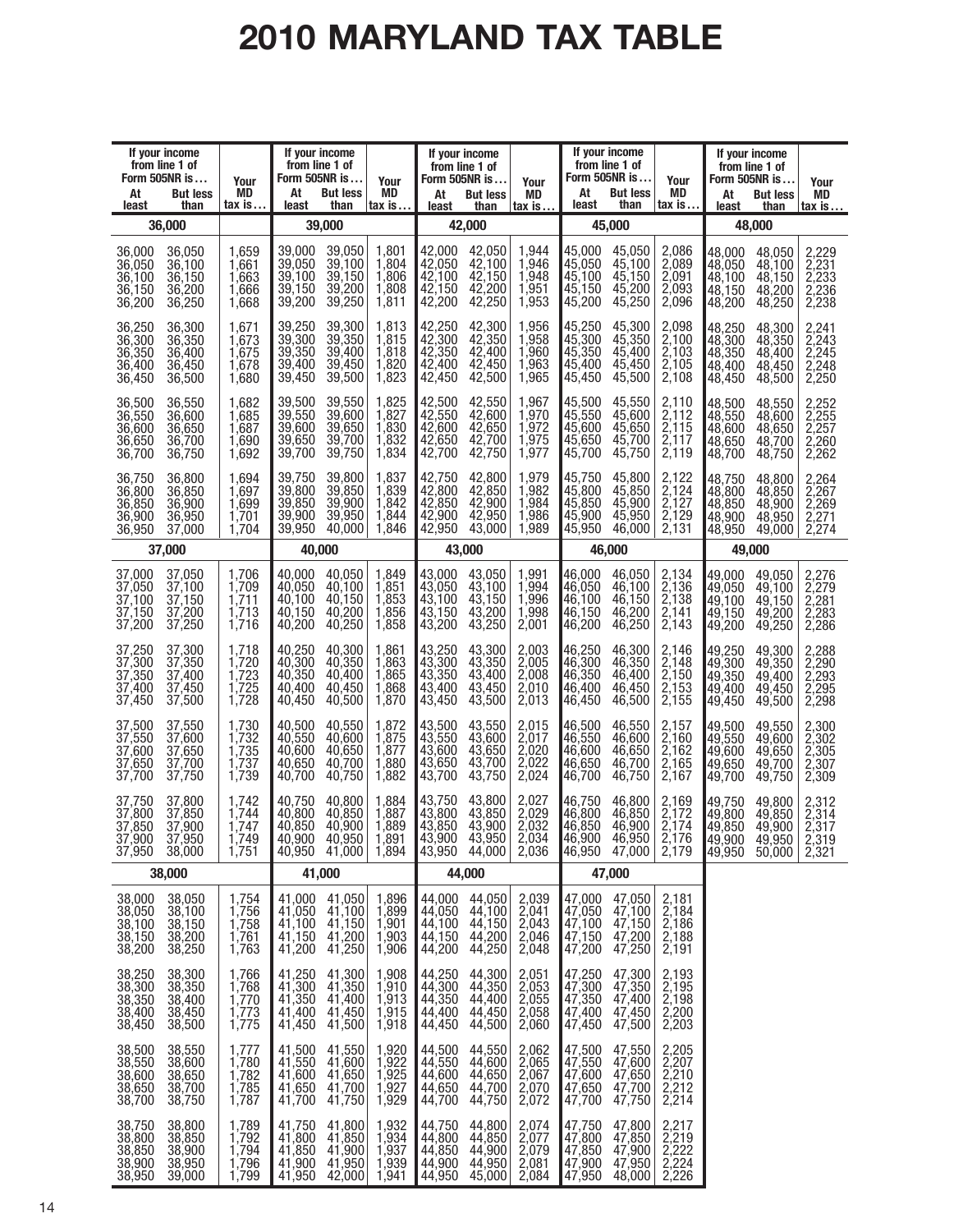# **2010 MARYLAND TAX TABLE**

| If your income<br>from line 1 of<br>Form 505NR is<br>At<br><b>But less</b><br>least<br>than                | Your<br><b>MD</b><br>$\mathsf{tax}$ is $\ldots$                             | If your income<br>from line 1 of<br>Form 505NR is<br>At<br><b>But less</b><br>least<br>than         | Your<br>MD<br>$\mathsf{tax}$ is $\ldots$        | At<br>least                                           | If your income<br>from line 1 of<br>Form 505NR is<br><b>But less</b><br>than | Your<br>MD<br>$\mathsf{tax}$ is $\dots$          | At<br>least                                                                   | If your income<br>from line 1 of<br>Form 505NR is<br><b>But less</b><br>than | Your<br>MD<br>tax is                             | At<br>least                                           | If your income<br>from line 1 of<br>Form 505NR is<br><b>But less</b><br>than | Your<br>MD<br><u>tax is</u>                      |
|------------------------------------------------------------------------------------------------------------|-----------------------------------------------------------------------------|-----------------------------------------------------------------------------------------------------|-------------------------------------------------|-------------------------------------------------------|------------------------------------------------------------------------------|--------------------------------------------------|-------------------------------------------------------------------------------|------------------------------------------------------------------------------|--------------------------------------------------|-------------------------------------------------------|------------------------------------------------------------------------------|--------------------------------------------------|
| 36,000                                                                                                     |                                                                             | 39,000                                                                                              |                                                 |                                                       | 42,000                                                                       |                                                  |                                                                               | 45.000                                                                       |                                                  |                                                       | 48,000                                                                       |                                                  |
| 36,000<br>36,050<br>36,050<br>36,100<br>36,100<br>36,150<br>36,150<br>36,200<br>36,200<br>36,250           | 1,659<br>1,661<br>1,663<br>1,666<br>1,668                                   | 39,000<br>39,050<br>39,050<br>39,100<br>39,100<br>39,150<br>39,150<br>39,200<br>39,200<br>39,250    | 1,801<br>1,804<br>1,806<br>1,808<br>1,811       | 42,000<br>42,050<br>42,100<br>42,150<br>42,200        | 42,050<br>42,100<br>42,150<br>42,200<br>42,250                               | 1,944<br>1,946<br>1,948<br>1,951<br>1,953        | 45.000<br>45,050<br>45,100<br>45,150<br>45,200                                | 45,050<br>45,100<br>45,150<br>45,200<br>45,250                               | 2,086<br>2,089<br>2,091<br>2,093<br>2,096        | 48,000<br>48,050<br>48,100<br>48,150<br>48,200        | 48,050<br>48,100<br>48.150<br>48,200<br>48,250                               | 2,229<br>2,231<br>2,233<br>2,236<br>2,238        |
| 36,250<br>36,300<br>36,300<br>36,350<br>36,350<br>36,400<br>36,400<br>36,450<br>36,450<br>36,500           | 1,671<br>1,673<br>1,675<br>1,678<br>1,680                                   | 39,250<br>39,300<br>39,300<br>39,350<br>39,350<br>39,400<br>39.400<br>39,450<br>39,500<br>39,450    | 1,813<br>1,815<br>1,818<br>1,820<br>1,823       | 42,250<br>42,300<br>42,350<br>42,400<br>42,450        | 42,300<br>42,350<br>42,400<br>42,450<br>42,500                               | 1,956<br>1,958<br>1,960<br>1,963<br>1,965        | 45,250<br>45,300<br>45,350<br>45,400<br>45,450                                | 45,300<br>45,350<br>45,400<br>45,450<br>45,500                               | 2,098<br>2,100<br>2,103<br>$\frac{2,105}{2,108}$ | 48,250<br>48,300<br>48,350<br>48,400<br>48,450        | 48,300<br>48,350<br>48.400<br>48,450<br>48,500                               | 2,241<br>2,243<br>2,245<br>2,248<br>2,250        |
| 36,500<br>36,550<br>36,550<br>36,600<br>36,600<br>36,650<br>36,650<br>36,700<br>36,700<br>36,750           | 1,682<br>1,685<br>1,687<br>1,690<br>1,692                                   | 39,500<br>39,550<br>39,550<br>39,600<br>39,600<br>39,650<br>39,650<br>39,700<br>39,750<br>39,700    | 1,825<br>1,827<br>1,830<br>1,832<br>1,834       | 42,500<br>42,550<br>42,600<br>42,650<br>42,700        | 42,550<br>42,600<br>42,650<br>42,700<br>42,750                               | 1,967<br>1,970<br>1,972<br>1,975<br>1,977        | 45,500<br>45,550<br>45,600<br>45,650<br>45,700                                | 45,550<br>45,600<br>45,650<br>45,700<br>45,750                               | 2,110<br>2,112<br>2,115<br>2,117<br>2,119        | 48,500<br>48,550<br>48.600<br>48,650<br>48,700        | 48,550<br>48,600<br>48,650<br>48,700<br>48.750                               | 2,252<br>2,255<br>2,257<br>2,260<br>2,262        |
| 36,750<br>36,800<br>36,800<br>36,850<br>36,850<br>36,900<br>36,900<br>36,950<br>36,950<br>37,000           | 1,694<br>1,697<br>1,699<br>1,701<br>1,704                                   | 39,750<br>39,800<br>39,800<br>39,850<br>39,850<br>39,900<br>39,900<br>39,950<br>39,950<br>40,000    | 1,837<br>1,839<br>1,842<br>1,844<br>1,846       | 42,750<br>42,800<br>42,850<br>42,900<br>42,950        | 42,800<br>42,850<br>42,900<br>42,950<br>43,000                               | 1,979<br>1,982<br>1,984<br>1,986<br>1,989        | 45,750<br>45,800<br>45,850<br>45.900<br>45,950                                | 45,800<br>45,850<br>45,900<br>45,950<br>46,000                               | 2,122<br>$\frac{2,124}{2,127}$<br>2,129<br>2,131 | 48,750<br>48,800<br>48.850<br>48,900<br>48,950        | 48,800<br>48,850<br>48,900<br>48,950<br>49,000                               | 2,264<br>2,267<br>2,269<br>2,271<br>2,274        |
| 37,000                                                                                                     |                                                                             | 40,000                                                                                              |                                                 |                                                       | 43,000                                                                       |                                                  |                                                                               | 46,000                                                                       |                                                  |                                                       | 49,000                                                                       |                                                  |
| 37,000<br>37,050<br>37,050<br>37,100<br>37,100<br>37,150<br>37,150<br>37,200<br>37,200<br>37,250           | 1,706<br>1,709<br>1,711<br>1,713<br>1,716                                   | 40,000<br>40,050<br>40,050<br>40,100<br>40,100<br>40,150<br>40,200<br>40,150<br>40,200<br>40,250    | 1,849<br>1,851<br>1,853<br>1,856<br>1,858       | 43,000<br>43,050<br>43,100<br>43,150<br>43,200        | 43,050<br>43,100<br>43,150<br>43,200<br>43,250                               | 1,991<br>1,994<br>1,996<br>1,998<br>2,001        | 46.000<br>46,050<br>46,100<br>46,150<br>46,200                                | 46,050<br>46,100<br>46,150<br>46,200<br>46,250                               | 2,134<br>2,136<br>2,138<br>2,141<br>2,143        | 49.000<br>49,050<br>49,100<br>49,150<br>49,200        | 49,050<br>49,100<br>49,150<br>49,200<br>49,250                               | 2,276<br>2,279<br>2,281<br>2,283<br>2,286        |
| 37,250<br>37,300<br>37,300<br>37,350<br>37,350<br>37,400<br>37,400<br>37,450<br>37,450<br>37,500           | 1,718<br>1,720<br>1,723<br>1,725<br>1,728                                   | 40,250<br>40,300<br>40,300<br>40,350<br>40,400<br>40,350<br>40,400<br>40,450<br>40,450<br>40,500    | 1,861<br>1,863<br>1,865<br>1,868<br>1,870       | 43,250<br>43,300<br>43,350<br>43,400<br>43,450        | 43,300<br>43,350<br>43,400<br>43,450<br>43,500                               | 2,003<br>2,005<br>2,008<br>2,010<br>2,013        | 46,250<br>46,300<br>46,350<br>46,400<br>46,450                                | 46,300<br>46,350<br>46,400<br>46,450<br>46,500                               | 2,146<br>$\frac{2,148}{2,150}$<br>2,153<br>2,155 | 49,250<br>49,300<br> 49,350<br>49.400<br>49,450       | 49,300<br>49,350<br>49,400<br>49,450<br>49,500                               | 2,288<br>2,290<br>2,293<br>2,295<br>2,298        |
| 37,500<br>37,550<br>37,550<br>37,600<br>37,600<br>37,650<br>37,650<br>37,700<br>37,700<br>37,750           | 1,730<br>1,732<br>1,735<br>1,737<br>1,739                                   | 40,500<br>40,550<br>40,550<br>40,600<br>40,600<br>40,650<br>40,650<br>40.700<br>40,750<br>40.700    | 1,872<br>1,875<br>1,877<br>1,880<br>1,882       | 43,500<br>43,550<br>43,600<br>43,650<br>43,700        | 43,550<br>43,600<br>43,650<br>43,700<br>43,750                               | 2,015<br>$\frac{2,017}{2,020}$<br>2,022<br>2,024 | 46,500<br>46,550<br>46,600<br>46,650<br>46,700                                | 46,550<br>46,600<br>46,650<br>46,700<br>46,750                               | 2,157<br>$\frac{2,160}{2,162}$<br>2,165<br>2,167 | 49,500<br>49,550<br>49,600<br>49,650<br>49,700        | 49,550<br>49,600<br>49,650<br>49,700<br>49,750                               | 2,300<br>2,302<br>$\frac{2,305}{2,307}$<br>2,309 |
| 37,750<br>37,800<br>37.800<br>37,850<br>37,850<br>37,900<br>37.900<br>37,950<br>38,000<br>37,950           | 1,742<br>1,744<br>1,747<br>1.749<br>1,751                                   | 40,750<br>40,800<br>40,800<br>40,850<br>40,850<br>40,900<br>40,900<br>40.950<br>40,950 41,000 1,894 | 1,884<br>1,887<br>1,889<br>1.891                | 43,750<br>43,800<br>43,850<br>43,900<br>43,950 44,000 | 43,800<br>43,850<br>43,900<br>43.950                                         | 2,027<br>2,029<br>2,032<br>2.034<br>2,036        | 46,750<br>46,800<br>46,850<br>Ⅰ46.900<br>$ 46,950 \t 47,000 $                 | 46,800<br>46,850<br>46,900<br>46.950                                         | 2,169<br>$\frac{2,172}{2,174}$<br>2.176<br>2,179 | 49,750<br>49,800<br>49,850<br>49,900<br>49,950 50,000 | 49,800<br>49,850<br>49,900<br>49,950                                         | 2,312<br>2,314<br>2,317<br>2.319<br>2,321        |
| 38,000                                                                                                     |                                                                             | 41,000                                                                                              |                                                 |                                                       | 44,000                                                                       |                                                  |                                                                               | 47,000                                                                       |                                                  |                                                       |                                                                              |                                                  |
| 38,000<br>38,050<br>38,050<br>38,100<br>38,100<br>38,150<br>38,150<br>38,200<br>38,200<br>38,250           | 1,754<br>1,756<br>1,758<br>1,761<br>1,763                                   | 41,050<br>41,100<br>41,000<br>41,050<br>41,150<br>41,100<br>41,200<br>41,150<br>41,250<br>41,200    | 1,896<br>1,899<br>1,901<br>1,903<br>1,906       | 44,000<br>44,050<br>44,100<br>44,150<br>44,200        | 44,050<br>44,100<br>$44,150$<br>$44,200$<br>44,250                           | 2,039<br>$\frac{2,041}{2,043}$<br>2,046<br>2,048 | 47,000<br>$\begin{array}{c} 47,050 \\ 47,100 \\ 47,150 \end{array}$<br>47,200 | 47,050<br>47,100<br>47,150<br>47,200<br>47,250                               | 2,181<br>2,184<br>2,186<br>2,188<br>2,191        |                                                       |                                                                              |                                                  |
| 38,250<br>38,300<br>38,350<br>38,300<br>38,350<br>38,400<br>38,400<br>38,450<br>38,450<br>38,500           | 1,766<br>1,768<br>1,770<br>1,773<br>1,775                                   | 41,250<br>41,300<br>41,350<br>41,400<br>41,300<br>41,350<br>41,400<br>41,450<br>41,500<br>41,450    | 1,908<br>1,910<br>1,913<br>1,915<br>1,918       | 44,250<br>44,300<br>44,350<br>44,400<br>44,450        | 44,300<br>44,350<br>44,400<br>44,450<br>44,500                               | 2,051<br>2,053<br>2,055<br>2,058<br>2,060        | 47,250<br>47,300<br>47,350<br>47,400<br>47,450                                | 47,300<br>47,350<br>47,400<br>47,450<br>47,500                               | 2,193<br>2,195<br>$\frac{2,198}{2,200}$<br>2,203 |                                                       |                                                                              |                                                  |
| $38,500$<br>$38,550$<br>$38,600$<br>$38,650$<br>$38,700$<br>38,550<br>38,600<br>38,650<br>38,700<br>38,750 | $\begin{array}{c} 1,777 \\ 1,780 \\ 1,782 \\ \end{array}$<br>1,785<br>1,787 | 41,550<br>41,600<br>41,650<br>41,500<br>41,550<br>41,600<br>41,650<br>41,700<br>41,750<br>41,700    | $1,920$<br>$1,922$<br>$1,925$<br>1,927<br>1,929 | 44,500<br>44,550<br>44,600<br>44,650<br>44,700        | 44,550<br>44,600<br>44,650<br>44,700<br>44,750                               | 2,062<br>2,065<br>2,067<br>2,070<br>2,072        | 47,500<br>$\frac{47,550}{47,600}$<br>$\frac{47,650}{47,550}$<br>47,700        | 47,550<br>47,600<br>47,650<br>47,700<br>47,750                               | 2,205<br>$\frac{2,207}{2,210}$<br>2,212<br>2,214 |                                                       |                                                                              |                                                  |
| $38,750$<br>$38,800$<br>$38,850$<br>$38,900$<br>$38,950$<br>38,800<br>38,850<br>38,900<br>39,000           | 1,789<br>1,792<br>1,794<br>1,796<br>1,799                                   | 41,750<br>41,800<br>41,850<br>41,900<br>41,800<br>41,850<br>41,900<br>41,950<br>41,950<br>42,000    | 1,932<br>1,934<br>1,937<br>1,939<br>1,941       | 44,750<br>44,800<br>44,850<br>44,900<br>44,950        | 44,800<br>44,850<br>44,900<br>44,950<br>45,000                               | 2,074<br>2,077<br>2,081<br>2,084                 | 47,750<br>47,800<br>47,850<br>47,900<br>47,950                                | 47,800<br>47,850<br>47,900<br>47,950<br>48,000                               | 2,217<br>$\frac{2,219}{2,222}$<br>2,224<br>2,226 |                                                       |                                                                              |                                                  |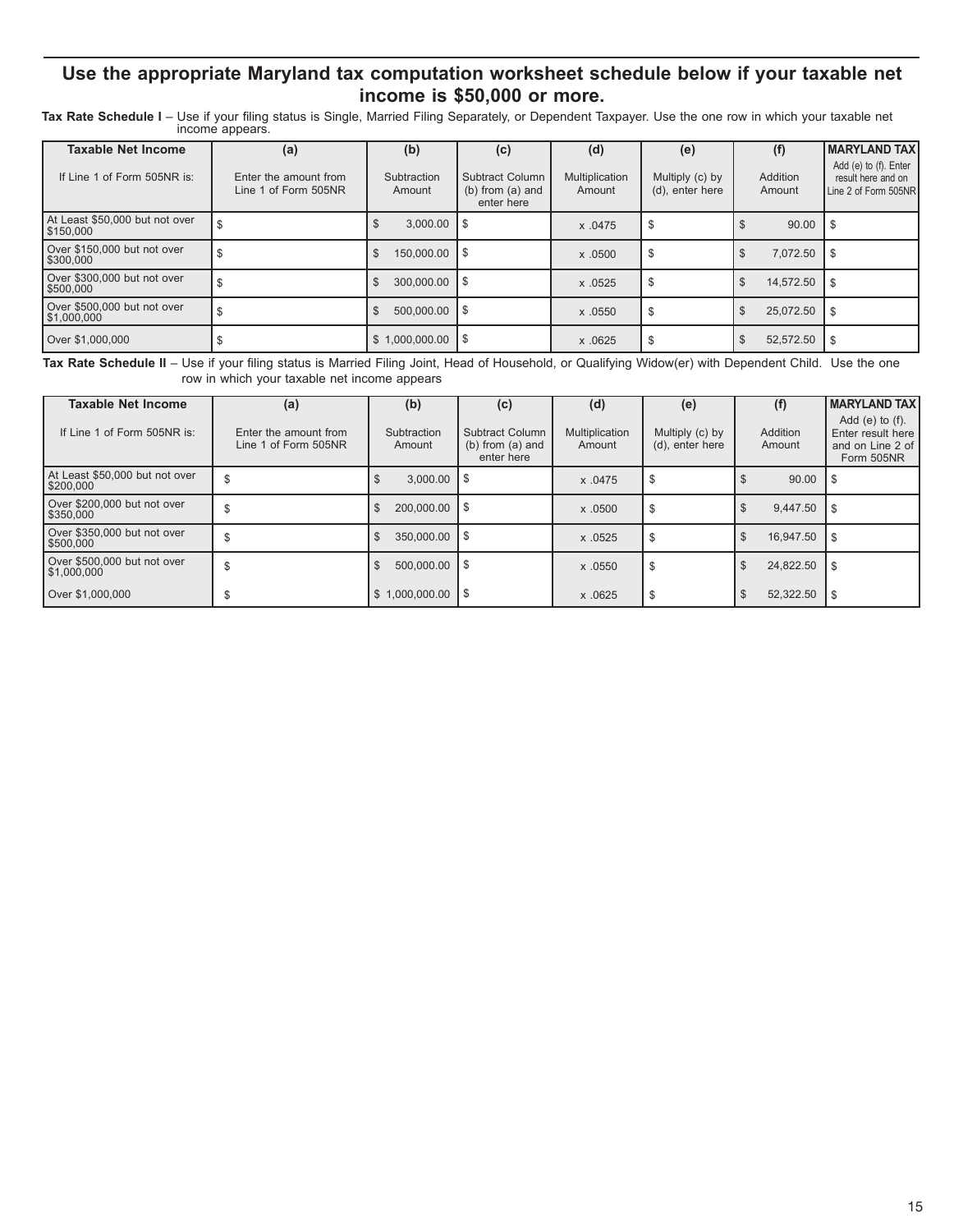## **Use the appropriate Maryland tax computation worksheet schedule below if your taxable net income is \$50,000 or more.**

Tax Rate Schedule I – Use if your filing status is Single, Married Filing Separately, or Dependent Taxpayer. Use the one row in which your taxable net<br>income appears.

| <b>Taxable Net Income</b>                   | (a)                                           | (b)                                | (c)                                                          | (d)                      | (e)                                |                    | <b>MARYLAND TAX</b>                                                 |
|---------------------------------------------|-----------------------------------------------|------------------------------------|--------------------------------------------------------------|--------------------------|------------------------------------|--------------------|---------------------------------------------------------------------|
| If Line 1 of Form 505NR is:                 | Enter the amount from<br>Line 1 of Form 505NR | Subtraction<br>Amount              | <b>Subtract Column</b><br>$(b)$ from $(a)$ and<br>enter here | Multiplication<br>Amount | Multiply (c) by<br>(d), enter here | Addition<br>Amount | Add (e) to (f). Enter<br>result here and on<br>Line 2 of Form 505NR |
| At Least \$50,000 but not over<br>\$150,000 |                                               | 3.000.00                           | l S                                                          | x .0475                  | \$                                 | 90.00              |                                                                     |
| Over \$150,000 but not over<br>l \$300.000  |                                               | 150,000.00 \\$<br><sup>\$</sup>    |                                                              | x.0500                   | \$                                 | 7.072.50<br>\$     | ∣\$                                                                 |
| Over \$300,000 but not over<br>\$500,000    |                                               | $300.000.00$ \ \$<br><sup>\$</sup> |                                                              | x.0525                   | S                                  | 14.572.50<br>\$    | - S                                                                 |
| Over \$500,000 but not over<br>\$1,000,000  |                                               | $500.000.00$ S<br>\$               |                                                              | x .0550                  | S                                  | 25.072.50          | -\$                                                                 |
| Over \$1.000.000                            |                                               | $$1,000,000.00$ \ \ \$             |                                                              | x.0625                   | S                                  | 52.572.50          | -\$                                                                 |

**Tax Rate Schedule II** – Use if your filing status is Married Filing Joint, Head of Household, or Qualifying Widow(er) with Dependent Child. Use the one row in which your taxable net income appears

| <b>Taxable Net Income</b>                   | (a)                                           | (b)                          | (c)                                                   | (d)                      | (e)                                |                             | <b>MARYLAND TAX</b>                                                         |
|---------------------------------------------|-----------------------------------------------|------------------------------|-------------------------------------------------------|--------------------------|------------------------------------|-----------------------------|-----------------------------------------------------------------------------|
| If Line 1 of Form 505NR is:                 | Enter the amount from<br>Line 1 of Form 505NR | Subtraction<br>Amount        | Subtract Column<br>$(b)$ from $(a)$ and<br>enter here | Multiplication<br>Amount | Multiply (c) by<br>(d), enter here | Addition<br>Amount          | Add $(e)$ to $(f)$ .<br>Enter result here<br>and on Line 2 of<br>Form 505NR |
| At Least \$50,000 but not over<br>\$200,000 |                                               | $3.000.00$ S<br>J            |                                                       | x .0475                  | S                                  | 90.00                       |                                                                             |
| Over \$200,000 but not over<br>\$350,000    |                                               | $200,000.00$ \ \$<br>\$      |                                                       | x.0500                   | \$                                 | 9.447.50<br>\$              | - \$                                                                        |
| Over \$350,000 but not over<br>\$500,000    |                                               | $350,000.00$ \ \$<br>\$      |                                                       | x .0525                  | S                                  | 16.947.50<br>\$.            | S.                                                                          |
| Over \$500,000 but not over<br> \$1,000,000 |                                               | $500.000.00$ $\mid$ \$<br>\$ |                                                       | x.0550                   | \$                                 | 24.822.50<br>\$             | - \$                                                                        |
| Over \$1,000,000                            |                                               | $$1.000.000.00$ S            |                                                       | x.0625                   | \$                                 | 52,322.50<br>$\mathfrak{L}$ | -S                                                                          |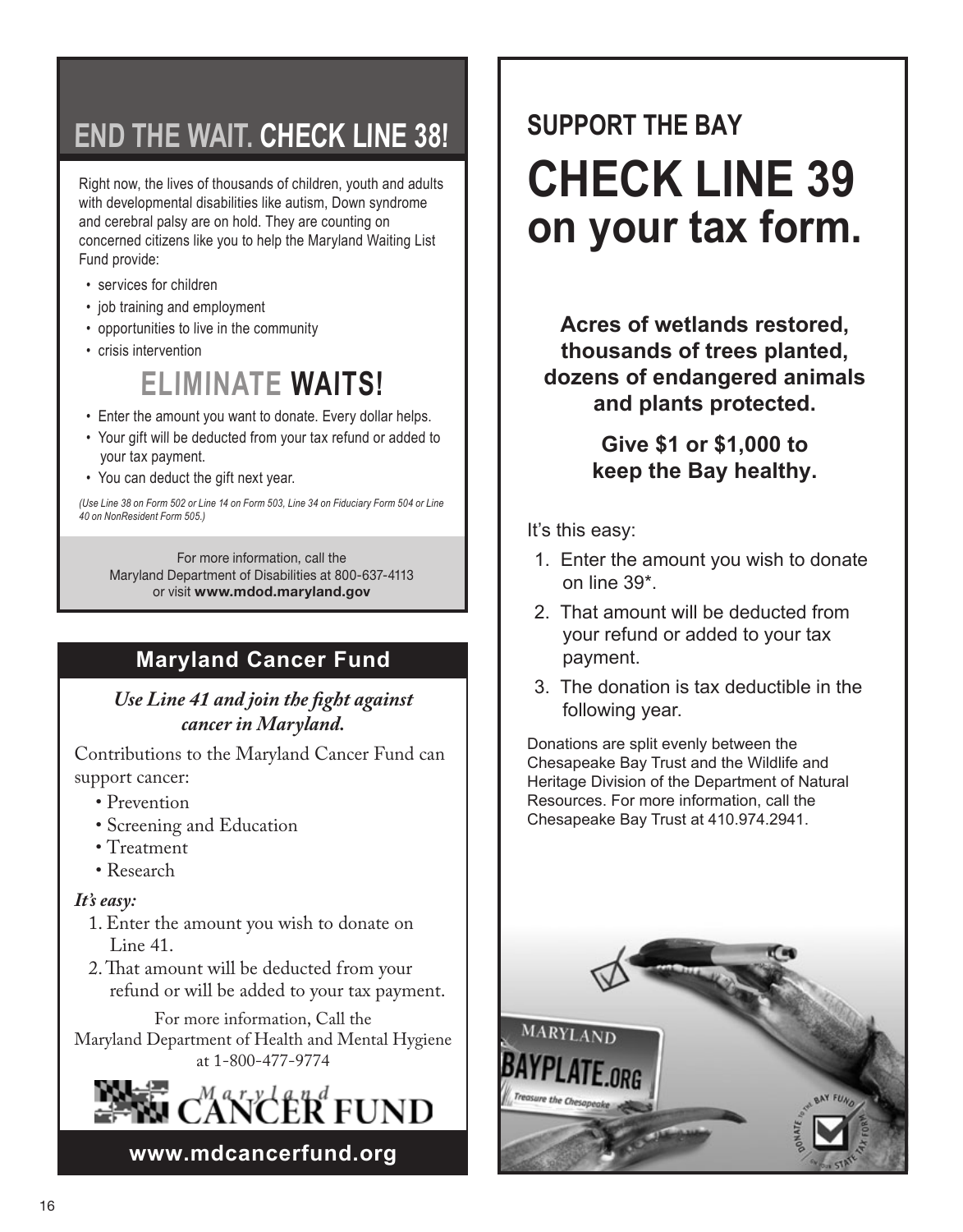## **END THE WAIT. CHECK LINE 38!**

Right now, the lives of thousands of children, youth and adults with developmental disabilities like autism, Down syndrome and cerebral palsy are on hold. They are counting on concerned citizens like you to help the Maryland Waiting List Fund provide:

- services for children
- job training and employment
- opportunities to live in the community
- crisis intervention

## **ELIMINATE WAITS!**

- Enter the amount you want to donate. Every dollar helps.
- Your gift will be deducted from your tax refund or added to your tax payment.
- You can deduct the gift next year.

*(Use Line 38 on Form 502 or Line 14 on Form 503, Line 34 on Fiduciary Form 504 or Line 40 on NonResident Form 505.)*

For more information, call the Maryland Department of Disabilities at 800-637-4113 or visit **www.mdod.maryland.gov**

## **Maryland Cancer Fund**

## *Use Line 41 and join the fight against cancer in Maryland.*

Contributions to the Maryland Cancer Fund can support cancer:

- Prevention
- Screening and Education
- Treatment
- Research

## *It's easy:*

- 1. Enter the amount you wish to donate on Line 41.
- 2. That amount will be deducted from your refund or will be added to your tax payment.

For more information, Call the Maryland Department of Health and Mental Hygiene at 1-800-477-9774



**www.mdcancerfund.org**

# **SUPPORT THE BAY CHECK LINE 39 on your tax form.**

**Acres of wetlands restored, thousands of trees planted, dozens of endangered animals and plants protected.**

> **Give \$1 or \$1,000 to keep the Bay healthy.**

It's this easy:

- 1. Enter the amount you wish to donate on line 39\*.
- 2. That amount will be deducted from your refund or added to your tax payment.
- 3. The donation is tax deductible in the following year.

Donations are split evenly between the Chesapeake Bay Trust and the Wildlife and Heritage Division of the Department of Natural Resources. For more information, call the Chesapeake Bay Trust at 410.974.2941.